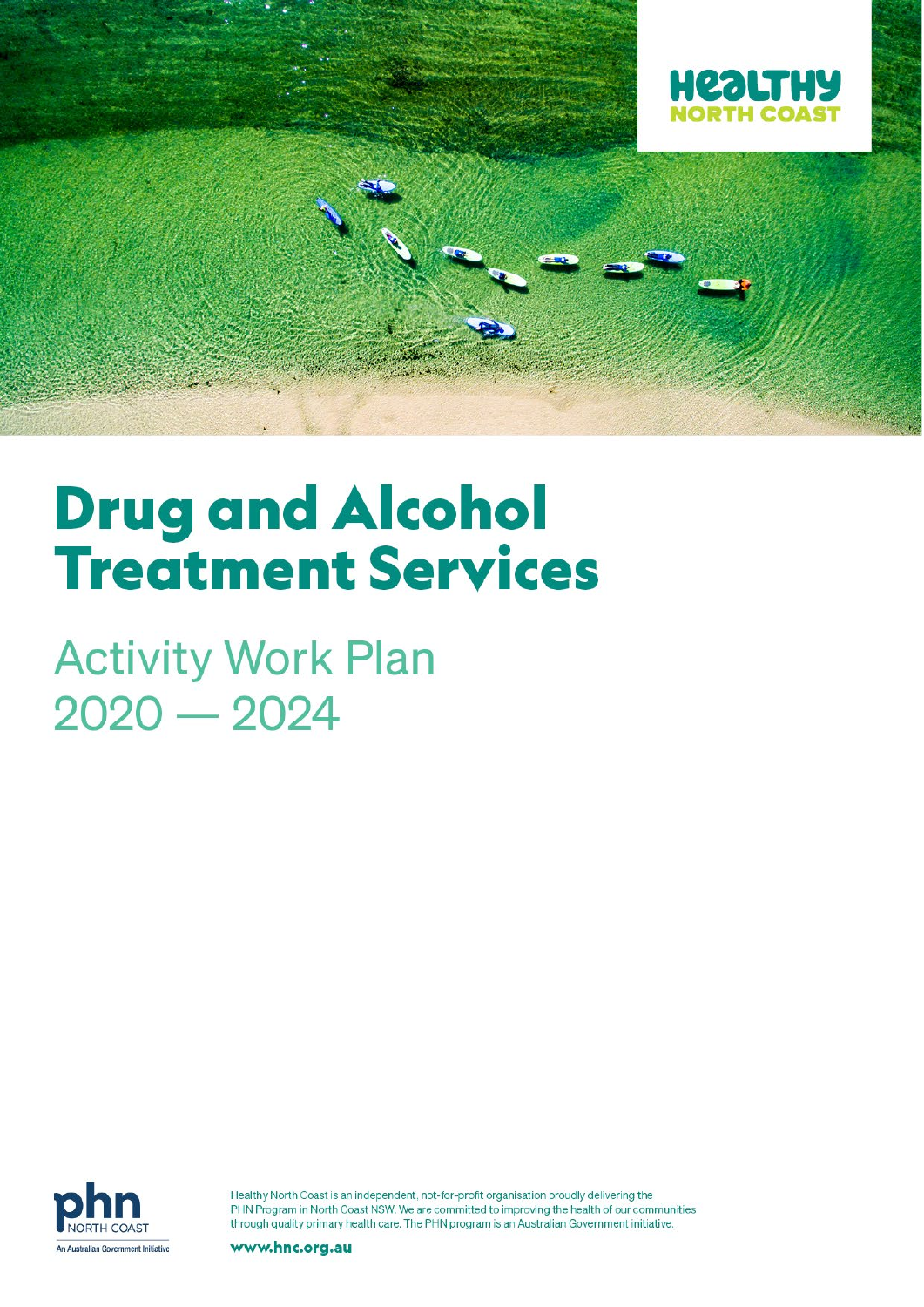

# **Drug and Alcohol Treatment Services**

**Activity Work Plan**  $2020 - 2024$ 



Healthy North Coast is an independent, not-for-profit organisation proudly delivering the PHN Program in North Coast NSW. We are committed to improving the health of our communities through quality primary health care. The PHN program is an Australian Government initiative.

www.hnc.org.au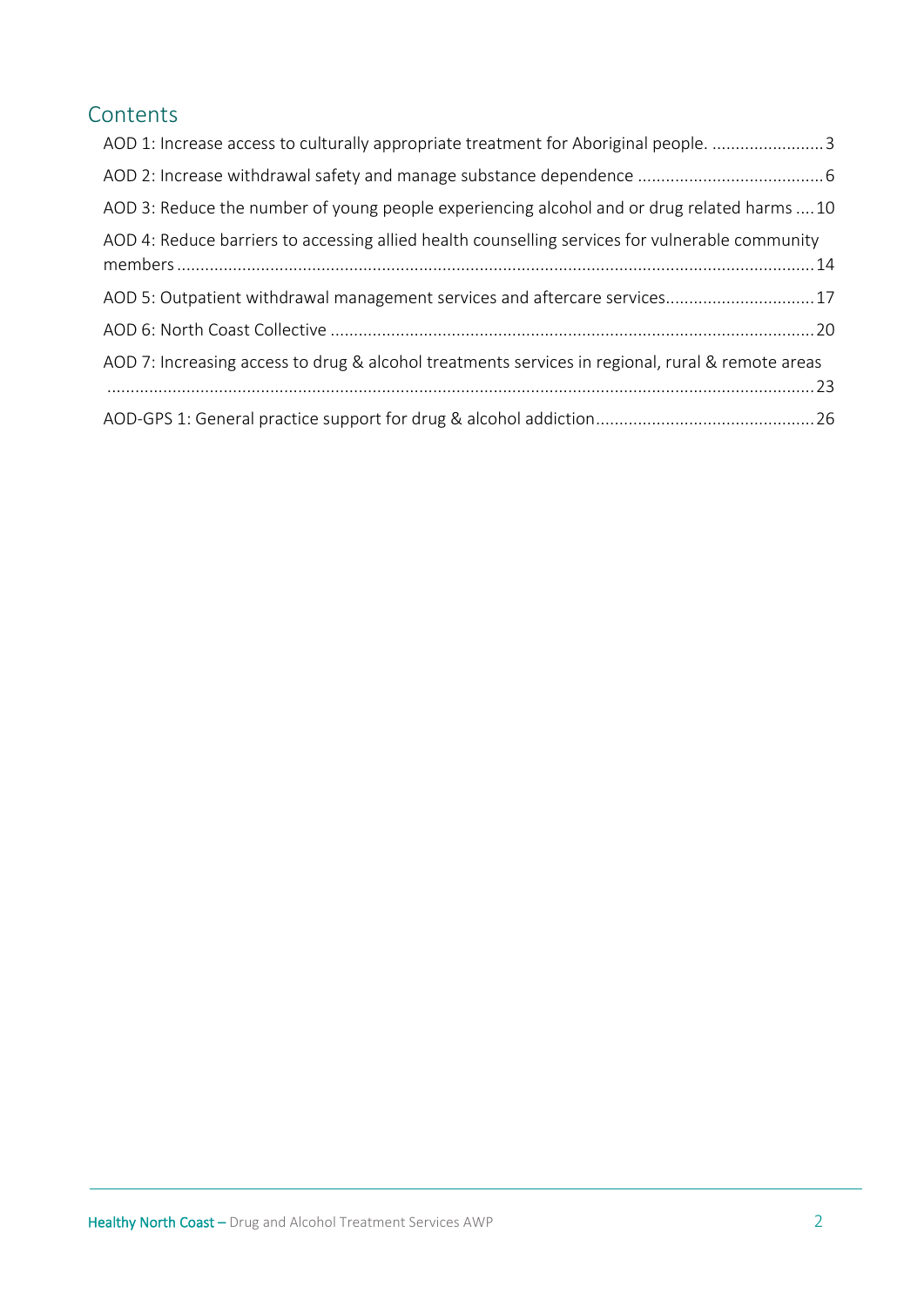# Contents

| AOD 1: Increase access to culturally appropriate treatment for Aboriginal people. 3              |
|--------------------------------------------------------------------------------------------------|
|                                                                                                  |
| AOD 3: Reduce the number of young people experiencing alcohol and or drug related harms 10       |
| AOD 4: Reduce barriers to accessing allied health counselling services for vulnerable community  |
| AOD 5: Outpatient withdrawal management services and aftercare services17                        |
|                                                                                                  |
| AOD 7: Increasing access to drug & alcohol treatments services in regional, rural & remote areas |
|                                                                                                  |
|                                                                                                  |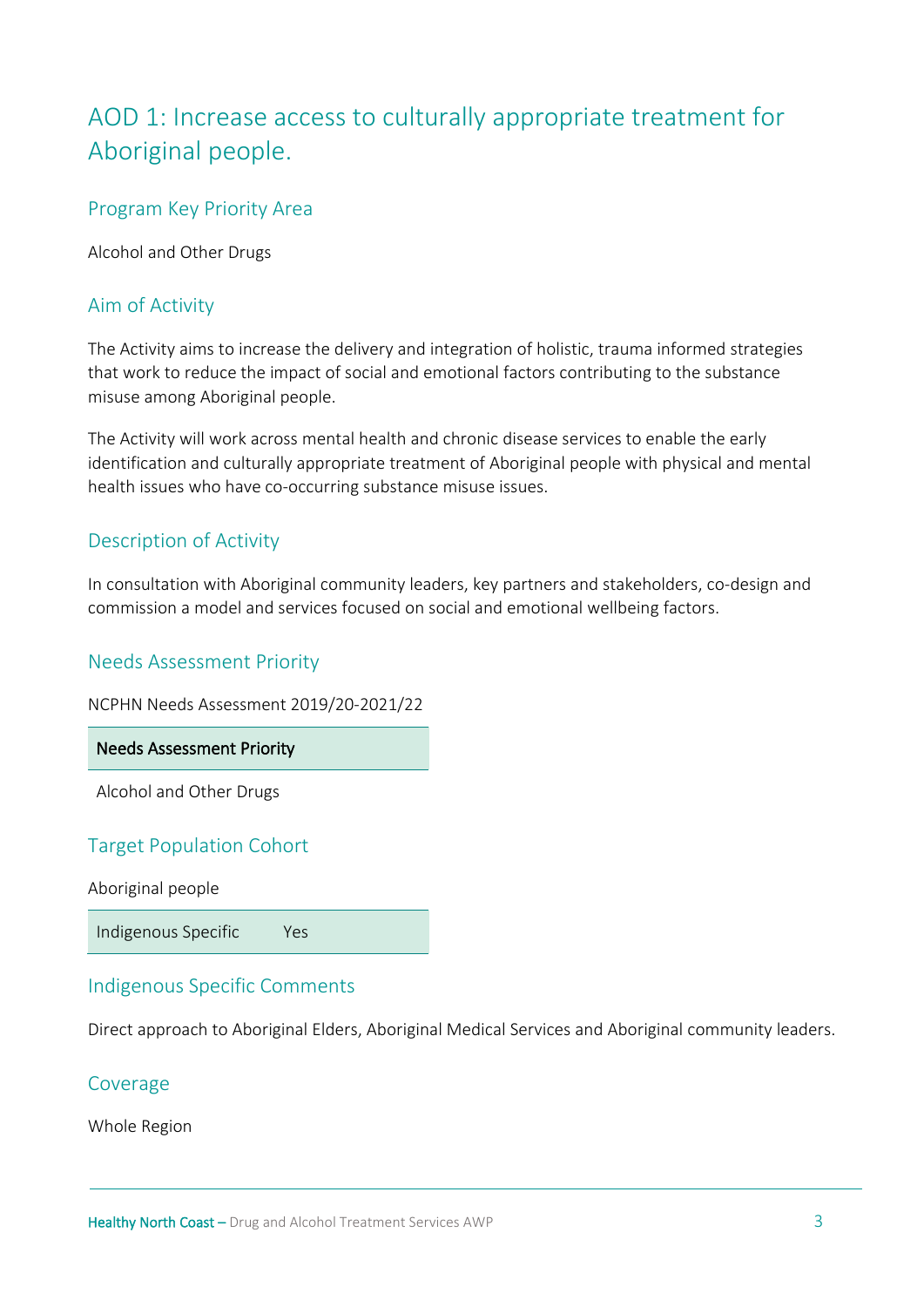# <span id="page-2-0"></span>AOD 1: Increase access to culturally appropriate treatment for Aboriginal people.

# Program Key Priority Area

Alcohol and Other Drugs

# Aim of Activity

The Activity aims to increase the delivery and integration of holistic, trauma informed strategies that work to reduce the impact of social and emotional factors contributing to the substance misuse among Aboriginal people.

The Activity will work across mental health and chronic disease services to enable the early identification and culturally appropriate treatment of Aboriginal people with physical and mental health issues who have co-occurring substance misuse issues.

# Description of Activity

In consultation with Aboriginal community leaders, key partners and stakeholders, co-design and commission a model and services focused on social and emotional wellbeing factors.

# Needs Assessment Priority

NCPHN Needs Assessment 2019/20-2021/22

Needs Assessment Priority

Alcohol and Other Drugs

# Target Population Cohort

Aboriginal people

Indigenous Specific Yes

# Indigenous Specific Comments

Direct approach to Aboriginal Elders, Aboriginal Medical Services and Aboriginal community leaders.

#### Coverage

Whole Region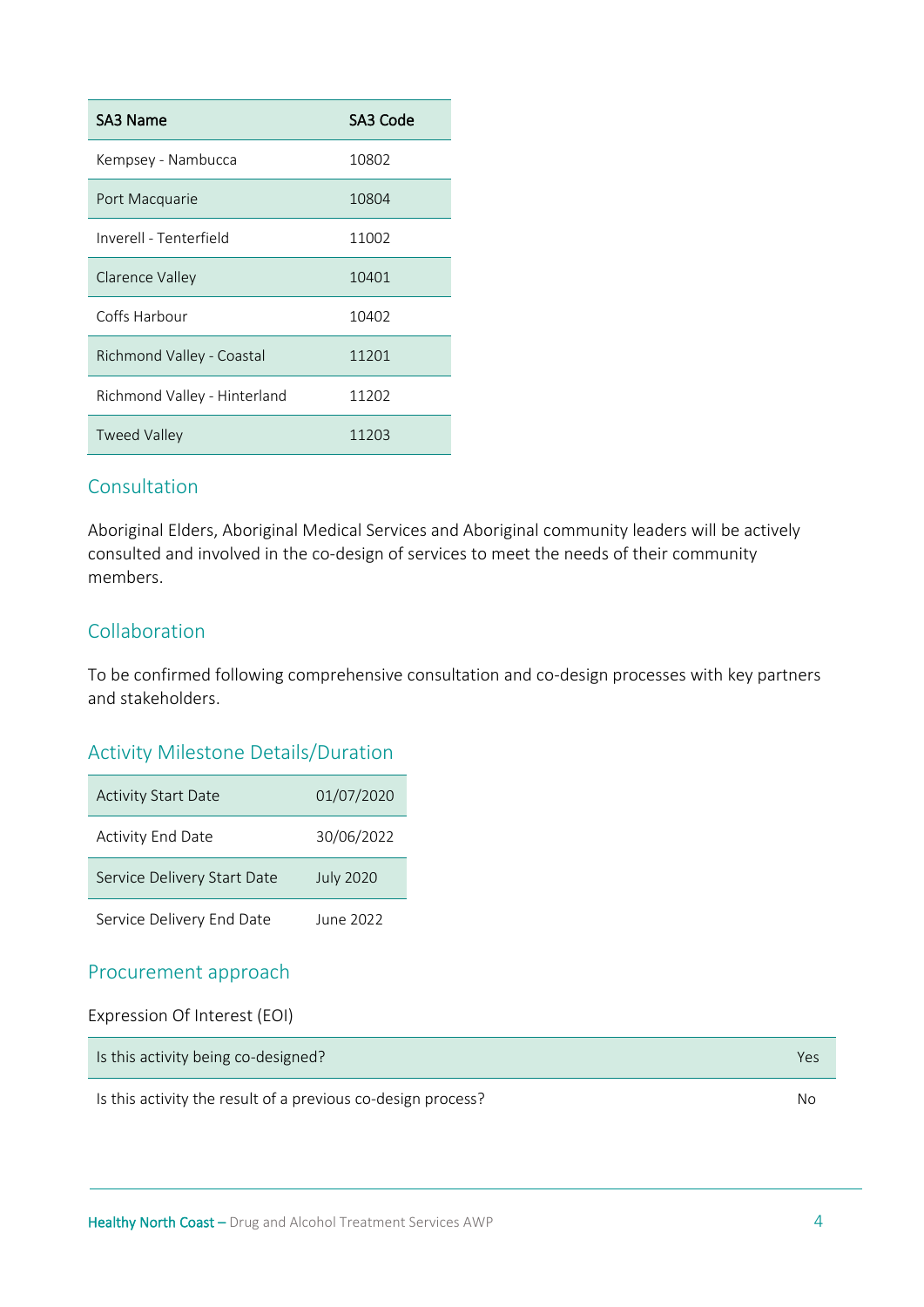| SA3 Name                     | SA3 Code |
|------------------------------|----------|
| Kempsey - Nambucca           | 10802    |
| Port Macquarie               | 10804    |
| Inverell - Tenterfield       | 11002    |
| Clarence Valley              | 10401    |
| Coffs Harbour                | 10402    |
| Richmond Valley - Coastal    | 11201    |
| Richmond Valley - Hinterland | 11202    |
| <b>Tweed Valley</b>          | 11203    |

# Consultation

Aboriginal Elders, Aboriginal Medical Services and Aboriginal community leaders will be actively consulted and involved in the co-design of services to meet the needs of their community members.

# Collaboration

To be confirmed following comprehensive consultation and co-design processes with key partners and stakeholders.

# Activity Milestone Details/Duration

| <b>Activity Start Date</b>  | 01/07/2020       |
|-----------------------------|------------------|
| <b>Activity End Date</b>    | 30/06/2022       |
| Service Delivery Start Date | <b>July 2020</b> |
| Service Delivery End Date   | June 2022        |

# Procurement approach

| Expression Of Interest (EOI) |
|------------------------------|
|------------------------------|

| Is this activity being co-designed? |  |
|-------------------------------------|--|
|                                     |  |

Is this activity the result of a previous co-design process? No No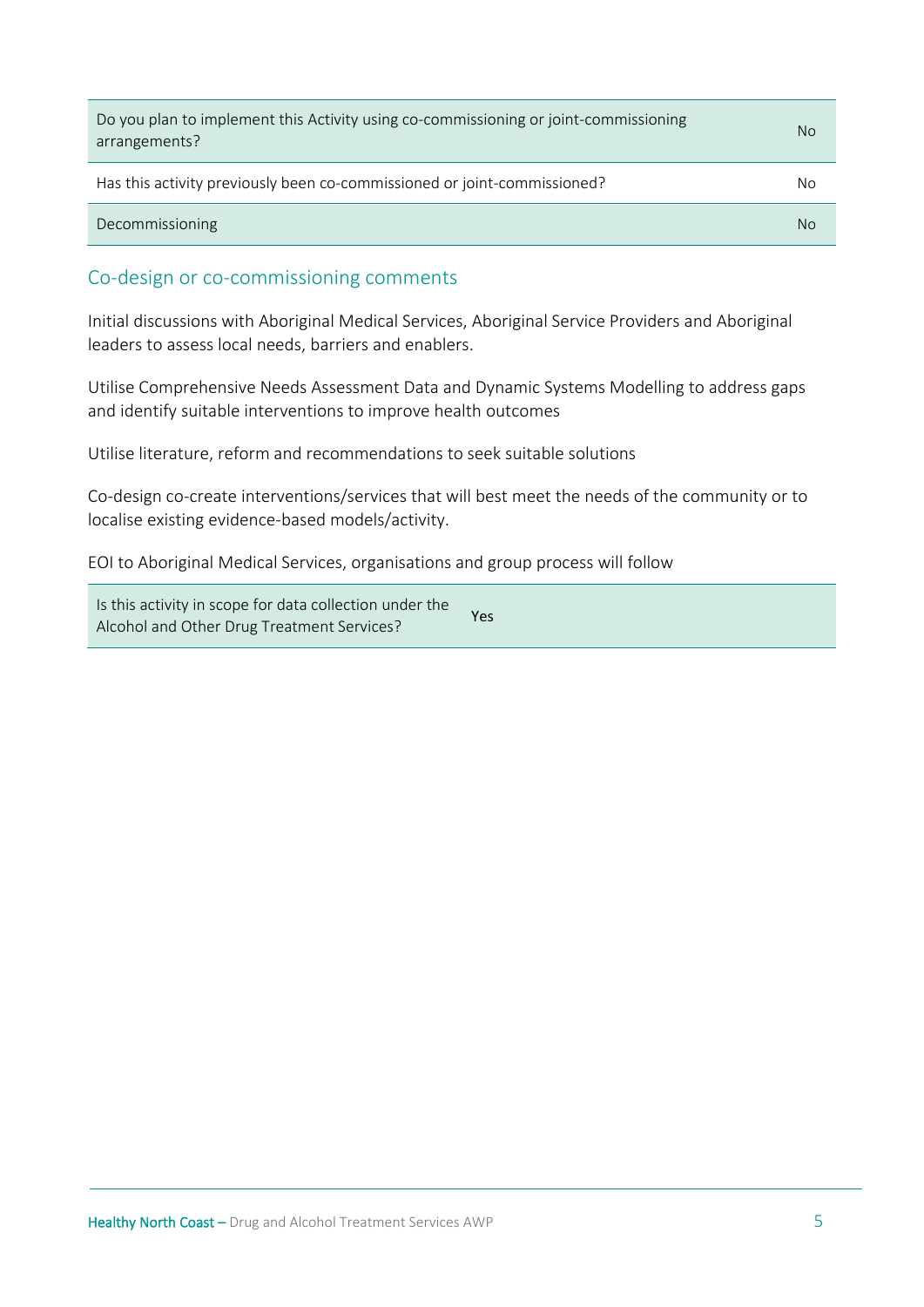| Do you plan to implement this Activity using co-commissioning or joint-commissioning<br>arrangements? | No. |
|-------------------------------------------------------------------------------------------------------|-----|
| Has this activity previously been co-commissioned or joint-commissioned?                              | No  |
| Decommissioning                                                                                       | No  |

#### Co-design or co-commissioning comments

Initial discussions with Aboriginal Medical Services, Aboriginal Service Providers and Aboriginal leaders to assess local needs, barriers and enablers.

Utilise Comprehensive Needs Assessment Data and Dynamic Systems Modelling to address gaps and identify suitable interventions to improve health outcomes

Utilise literature, reform and recommendations to seek suitable solutions

Co-design co-create interventions/services that will best meet the needs of the community or to localise existing evidence-based models/activity.

EOI to Aboriginal Medical Services, organisations and group process will follow

Is this activity in scope for data collection under the Alcohol and Other Drug Treatment Services? Yes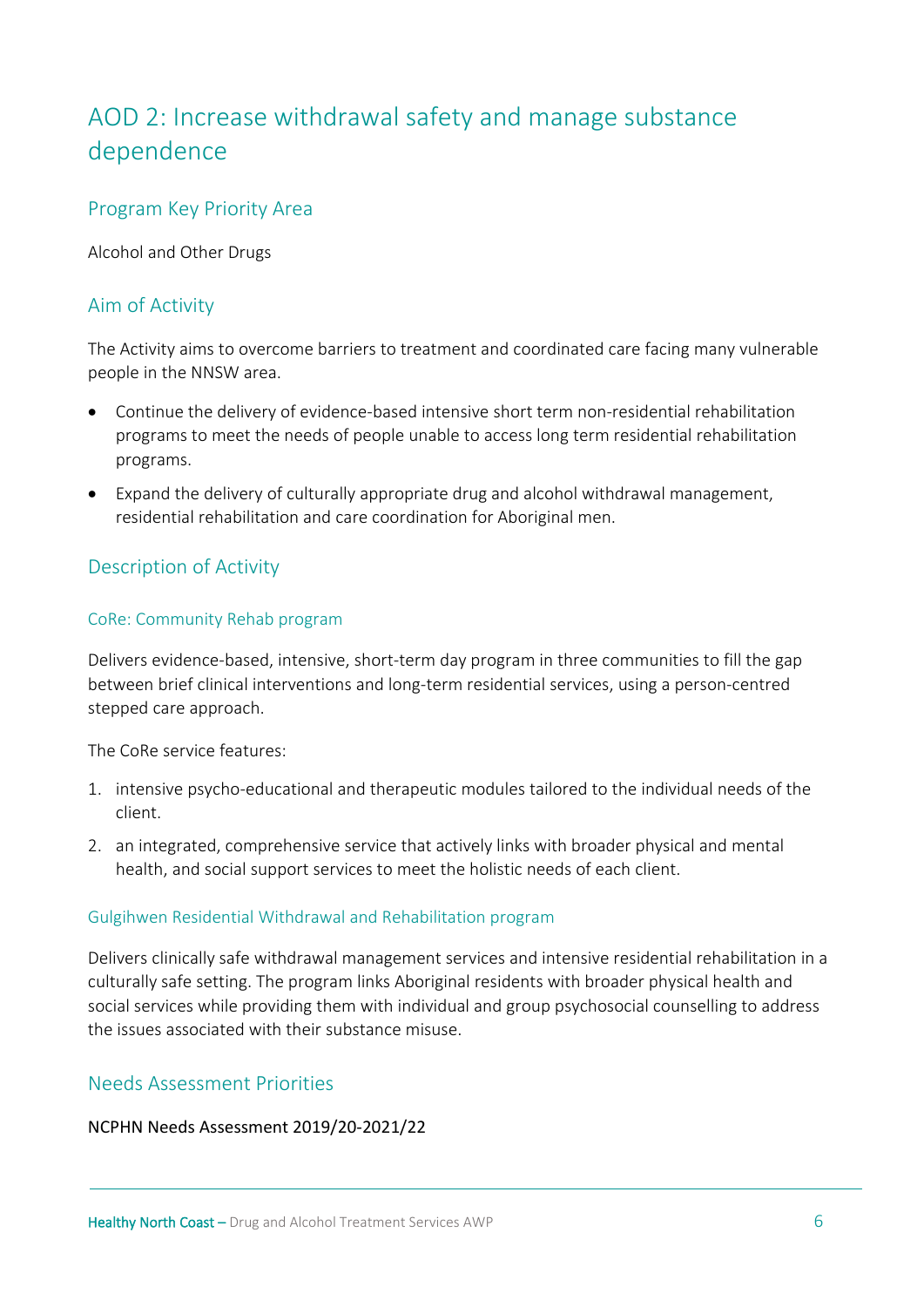# <span id="page-5-0"></span>AOD 2: Increase withdrawal safety and manage substance dependence

# Program Key Priority Area

Alcohol and Other Drugs

# Aim of Activity

The Activity aims to overcome barriers to treatment and coordinated care facing many vulnerable people in the NNSW area.

- Continue the delivery of evidence-based intensive short term non-residential rehabilitation programs to meet the needs of people unable to access long term residential rehabilitation programs.
- Expand the delivery of culturally appropriate drug and alcohol withdrawal management, residential rehabilitation and care coordination for Aboriginal men.

# Description of Activity

#### CoRe: Community Rehab program

Delivers evidence-based, intensive, short-term day program in three communities to fill the gap between brief clinical interventions and long-term residential services, using a person-centred stepped care approach.

The CoRe service features:

- 1. intensive psycho-educational and therapeutic modules tailored to the individual needs of the client.
- 2. an integrated, comprehensive service that actively links with broader physical and mental health, and social support services to meet the holistic needs of each client.

#### Gulgihwen Residential Withdrawal and Rehabilitation program

Delivers clinically safe withdrawal management services and intensive residential rehabilitation in a culturally safe setting. The program links Aboriginal residents with broader physical health and social services while providing them with individual and group psychosocial counselling to address the issues associated with their substance misuse.

# Needs Assessment Priorities

#### NCPHN Needs Assessment 2019/20-2021/22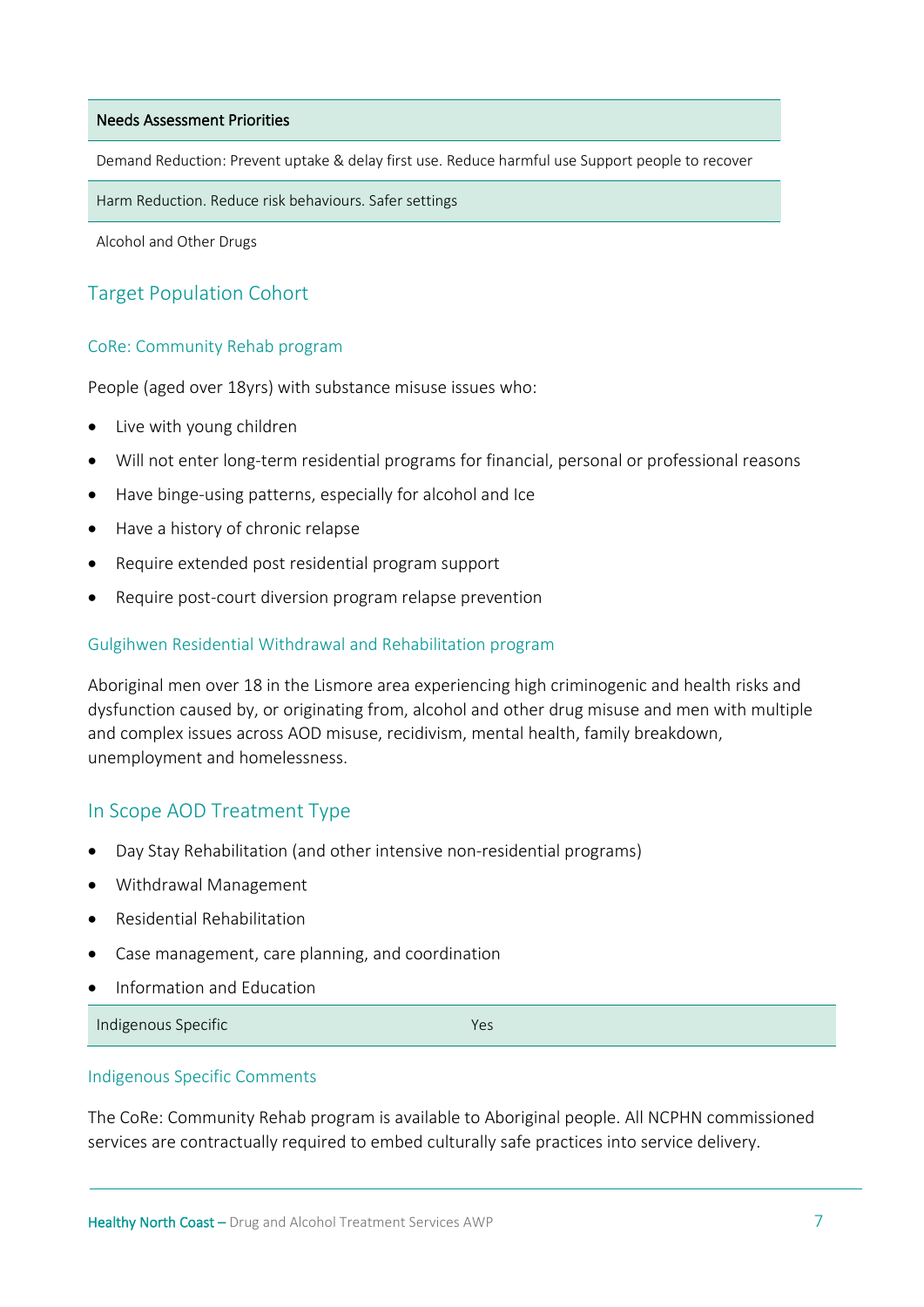#### Needs Assessment Priorities

Demand Reduction: Prevent uptake & delay first use. Reduce harmful use Support people to recover

Harm Reduction. Reduce risk behaviours. Safer settings

Alcohol and Other Drugs

# Target Population Cohort

#### CoRe: Community Rehab program

People (aged over 18yrs) with substance misuse issues who:

- Live with young children
- Will not enter long-term residential programs for financial, personal or professional reasons
- Have binge-using patterns, especially for alcohol and Ice
- Have a history of chronic relapse
- Require extended post residential program support
- Require post-court diversion program relapse prevention

#### Gulgihwen Residential Withdrawal and Rehabilitation program

Aboriginal men over 18 in the Lismore area experiencing high criminogenic and health risks and dysfunction caused by, or originating from, alcohol and other drug misuse and men with multiple and complex issues across AOD misuse, recidivism, mental health, family breakdown, unemployment and homelessness.

#### In Scope AOD Treatment Type

- Day Stay Rehabilitation (and other intensive non-residential programs)
- Withdrawal Management
- Residential Rehabilitation
- Case management, care planning, and coordination
- Information and Education

Indigenous Specific Yes

#### Indigenous Specific Comments

The CoRe: Community Rehab program is available to Aboriginal people. All NCPHN commissioned services are contractually required to embed culturally safe practices into service delivery.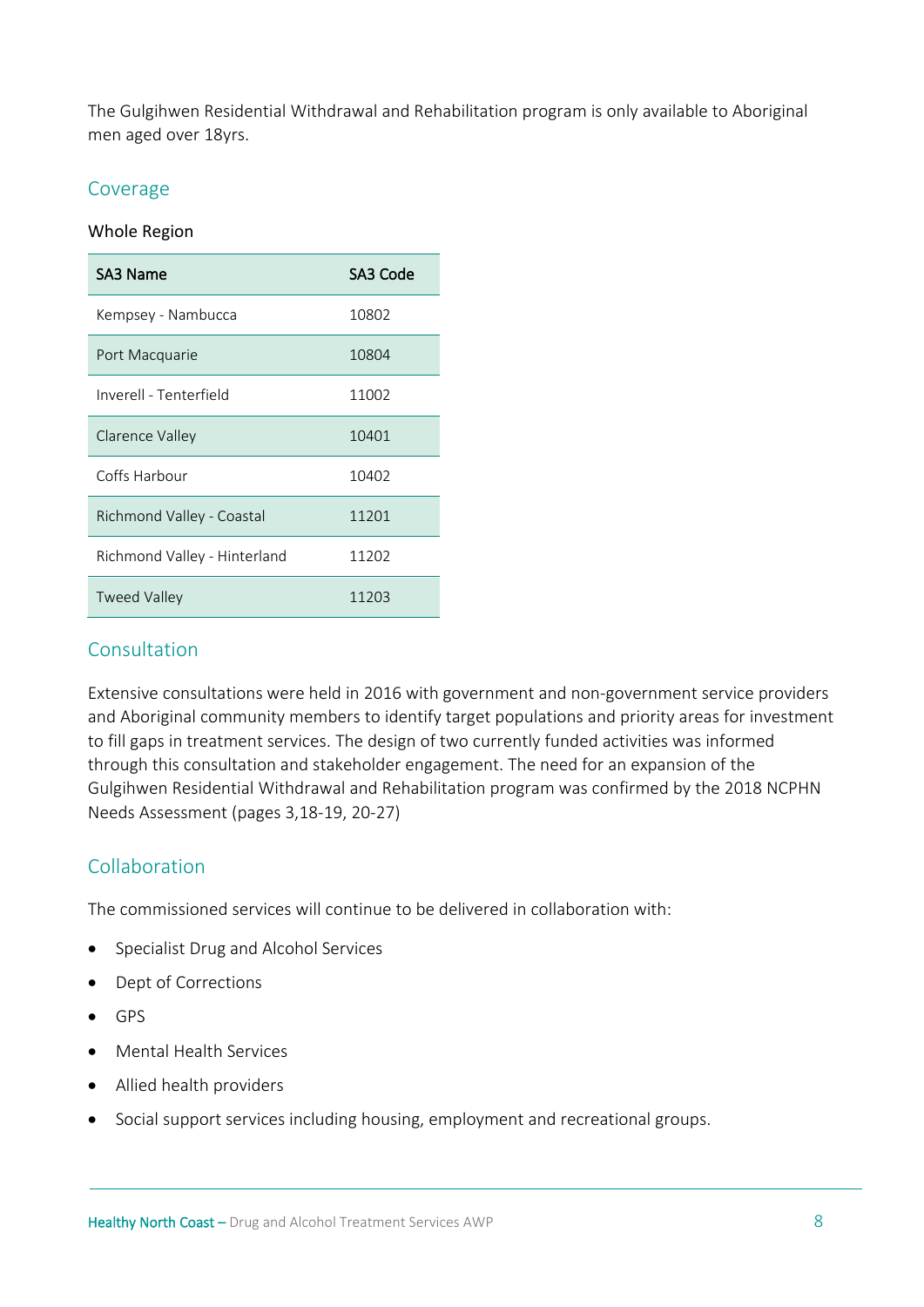The Gulgihwen Residential Withdrawal and Rehabilitation program is only available to Aboriginal men aged over 18yrs.

#### Coverage

#### Whole Region

| SA3 Name                     | SA3 Code |
|------------------------------|----------|
| Kempsey - Nambucca           | 10802    |
| Port Macquarie               | 10804    |
| Inverell - Tenterfield       | 11002    |
| Clarence Valley              | 10401    |
| Coffs Harbour                | 10402    |
| Richmond Valley - Coastal    | 11201    |
| Richmond Valley - Hinterland | 11202    |
| <b>Tweed Valley</b>          | 11203    |

#### Consultation

Extensive consultations were held in 2016 with government and non-government service providers and Aboriginal community members to identify target populations and priority areas for investment to fill gaps in treatment services. The design of two currently funded activities was informed through this consultation and stakeholder engagement. The need for an expansion of the Gulgihwen Residential Withdrawal and Rehabilitation program was confirmed by the 2018 NCPHN Needs Assessment (pages 3,18-19, 20-27)

# Collaboration

The commissioned services will continue to be delivered in collaboration with:

- Specialist Drug and Alcohol Services
- Dept of Corrections
- GPS
- Mental Health Services
- Allied health providers
- Social support services including housing, employment and recreational groups.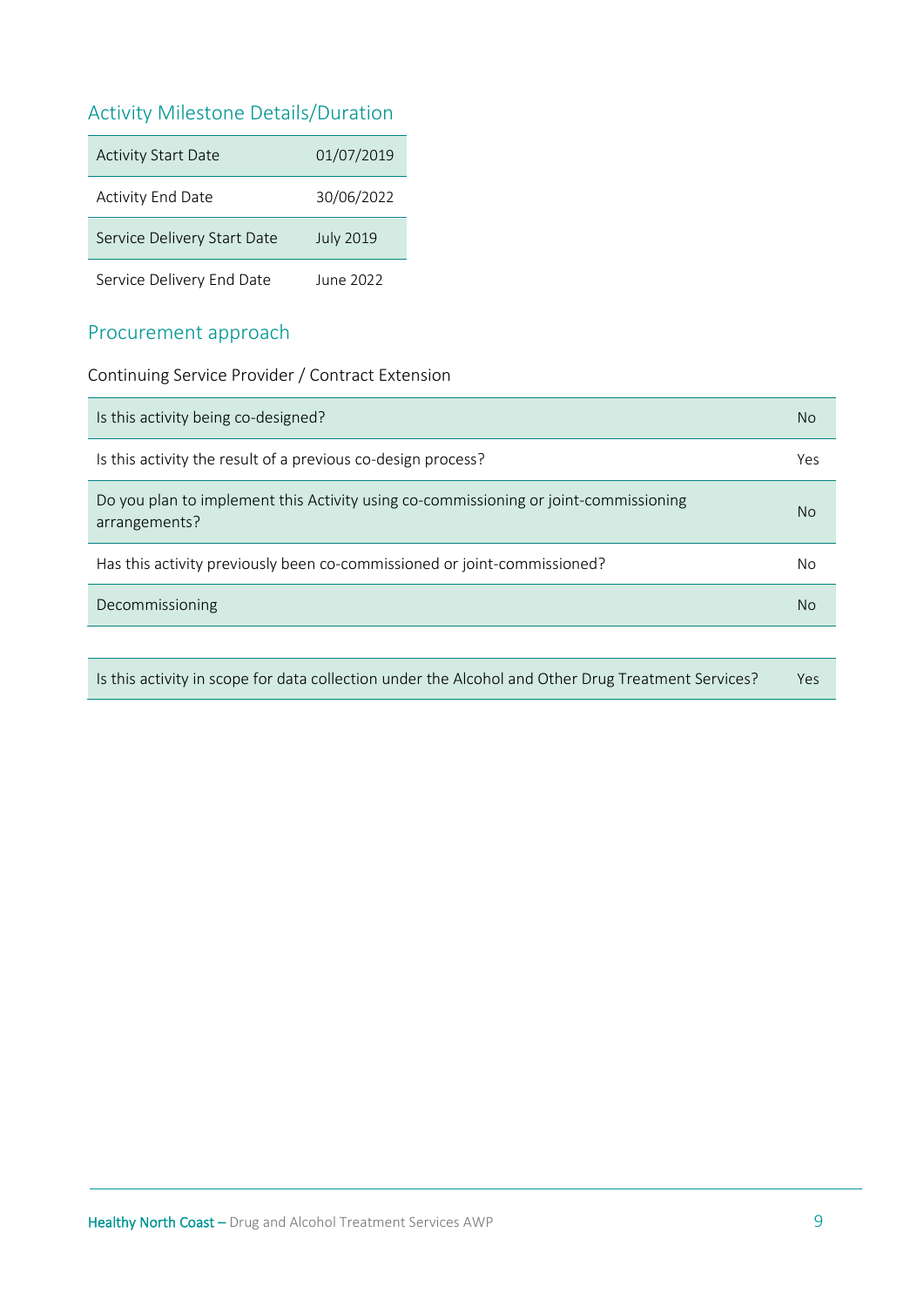# Activity Milestone Details/Duration

| <b>Activity Start Date</b>  | 01/07/2019       |
|-----------------------------|------------------|
| <b>Activity End Date</b>    | 30/06/2022       |
| Service Delivery Start Date | <b>July 2019</b> |
| Service Delivery End Date   | June 2022        |

# Procurement approach

Continuing Service Provider / Contract Extension

| Is this activity being co-designed?                                                                   | <b>No</b> |
|-------------------------------------------------------------------------------------------------------|-----------|
| Is this activity the result of a previous co-design process?                                          | Yes       |
| Do you plan to implement this Activity using co-commissioning or joint-commissioning<br>arrangements? | No.       |
| Has this activity previously been co-commissioned or joint-commissioned?                              | <b>No</b> |
| Decommissioning                                                                                       | No.       |
|                                                                                                       |           |

| Is this activity in scope for data collection under the Alcohol and Other Drug Treatment Services? | Yes |
|----------------------------------------------------------------------------------------------------|-----|
|----------------------------------------------------------------------------------------------------|-----|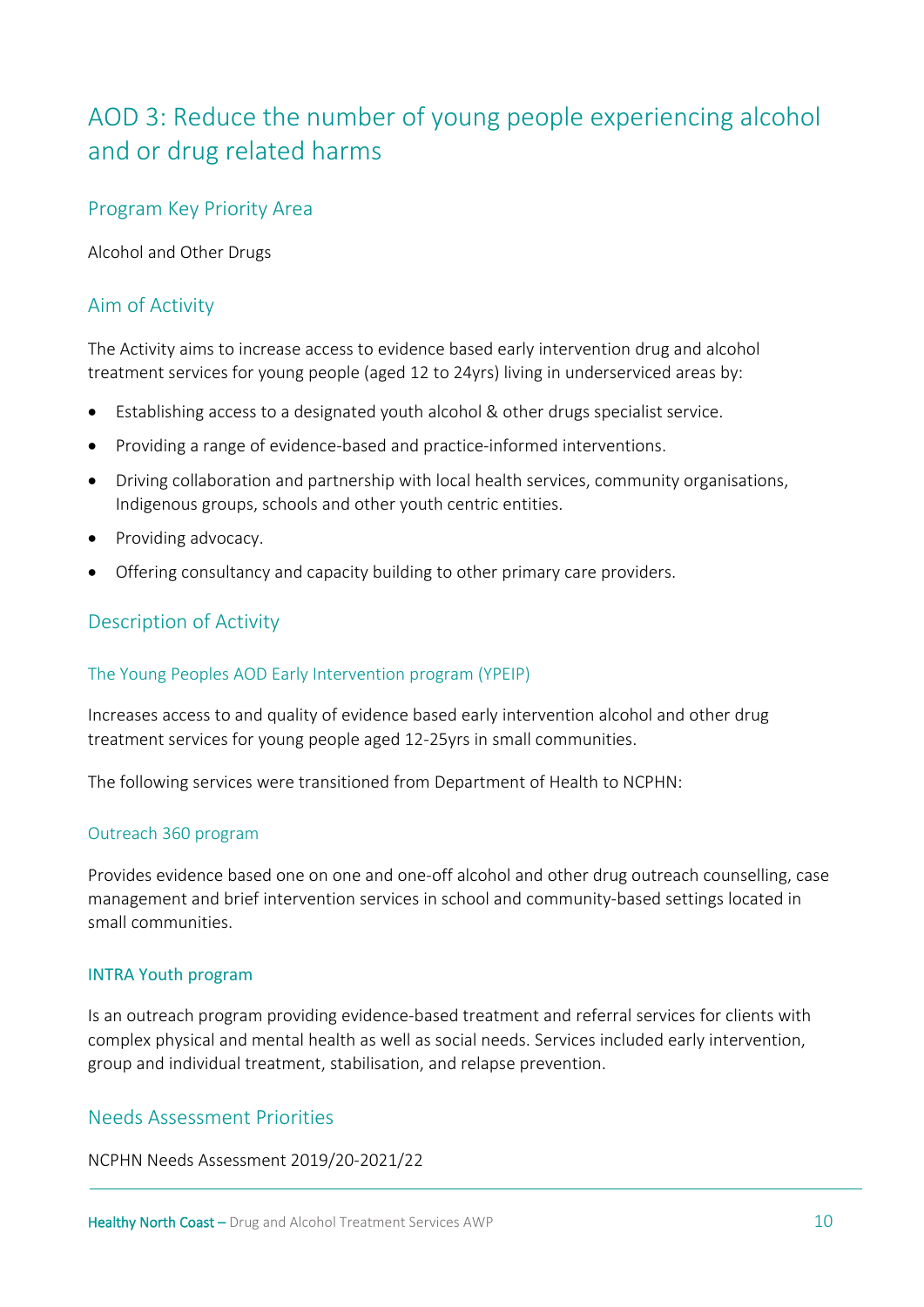# <span id="page-9-0"></span>AOD 3: Reduce the number of young people experiencing alcohol and or drug related harms

# Program Key Priority Area

Alcohol and Other Drugs

# Aim of Activity

The Activity aims to increase access to evidence based early intervention drug and alcohol treatment services for young people (aged 12 to 24yrs) living in underserviced areas by:

- Establishing access to a designated youth alcohol & other drugs specialist service.
- Providing a range of evidence-based and practice-informed interventions.
- Driving collaboration and partnership with local health services, community organisations, Indigenous groups, schools and other youth centric entities.
- Providing advocacy.
- Offering consultancy and capacity building to other primary care providers.

# Description of Activity

#### The Young Peoples AOD Early Intervention program (YPEIP)

Increases access to and quality of evidence based early intervention alcohol and other drug treatment services for young people aged 12-25yrs in small communities.

The following services were transitioned from Department of Health to NCPHN:

#### Outreach 360 program

Provides evidence based one on one and one-off alcohol and other drug outreach counselling, case management and brief intervention services in school and community-based settings located in small communities.

#### INTRA Youth program

Is an outreach program providing evidence-based treatment and referral services for clients with complex physical and mental health as well as social needs. Services included early intervention, group and individual treatment, stabilisation, and relapse prevention.

# Needs Assessment Priorities

NCPHN Needs Assessment 2019/20-2021/22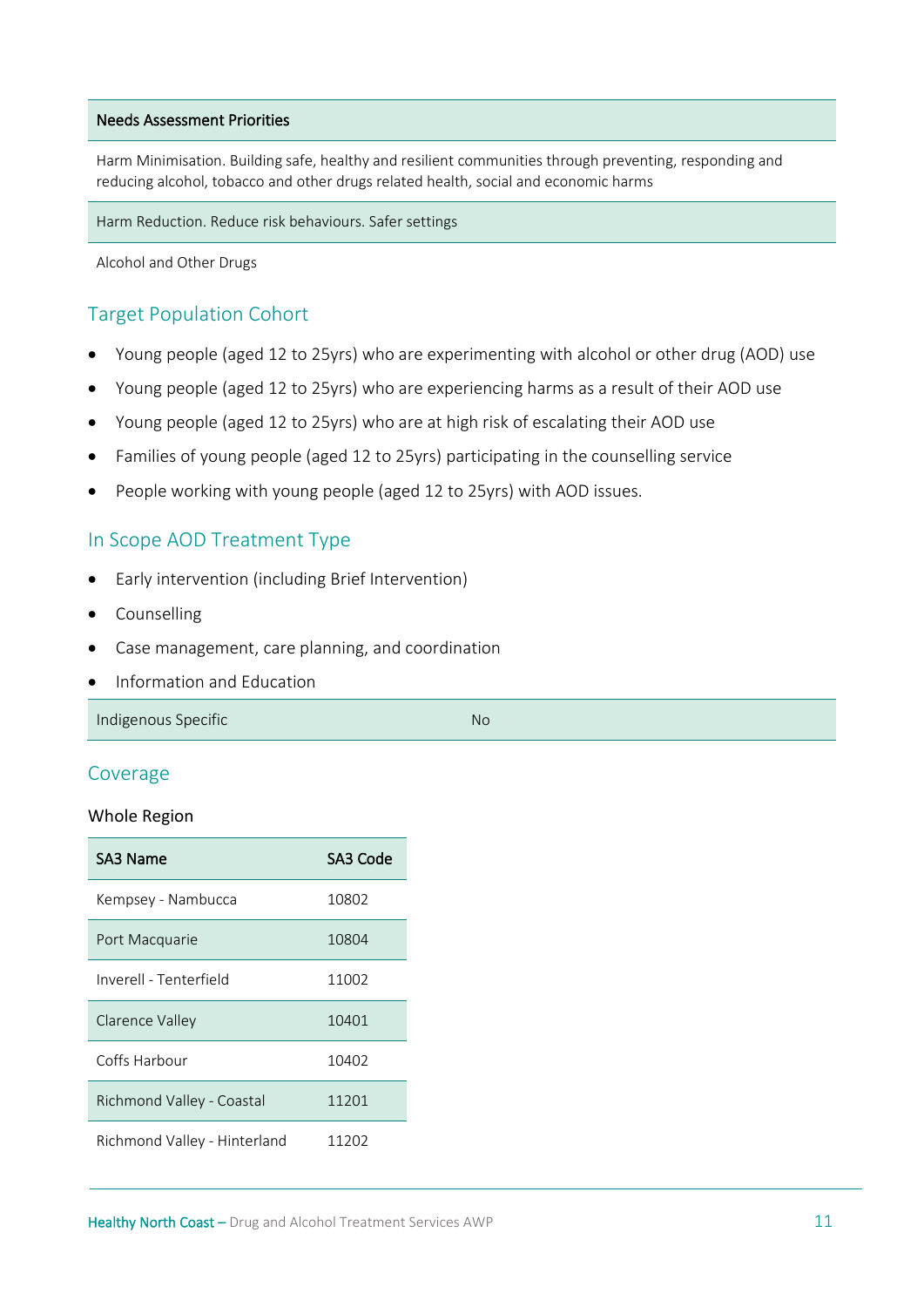#### Needs Assessment Priorities

Harm Minimisation. Building safe, healthy and resilient communities through preventing, responding and reducing alcohol, tobacco and other drugs related health, social and economic harms

Harm Reduction. Reduce risk behaviours. Safer settings

Alcohol and Other Drugs

#### Target Population Cohort

- Young people (aged 12 to 25yrs) who are experimenting with alcohol or other drug (AOD) use
- Young people (aged 12 to 25yrs) who are experiencing harms as a result of their AOD use
- Young people (aged 12 to 25yrs) who are at high risk of escalating their AOD use
- Families of young people (aged 12 to 25yrs) participating in the counselling service
- People working with young people (aged 12 to 25yrs) with AOD issues.

#### In Scope AOD Treatment Type

- Early intervention (including Brief Intervention)
- **Counselling**
- Case management, care planning, and coordination
- Information and Education

Indigenous Specific No. 2008. The United States of the United States and No. 2008. The No. 2008. No. 2008. The No

#### Coverage

#### Whole Region

| SA3 Name                     | SA3 Code |
|------------------------------|----------|
| Kempsey - Nambucca           | 10802    |
| Port Macquarie               | 10804    |
| Inverell - Tenterfield       | 11002    |
| Clarence Valley              | 10401    |
| Coffs Harbour                | 10402    |
| Richmond Valley - Coastal    | 11201    |
| Richmond Valley - Hinterland | 11202    |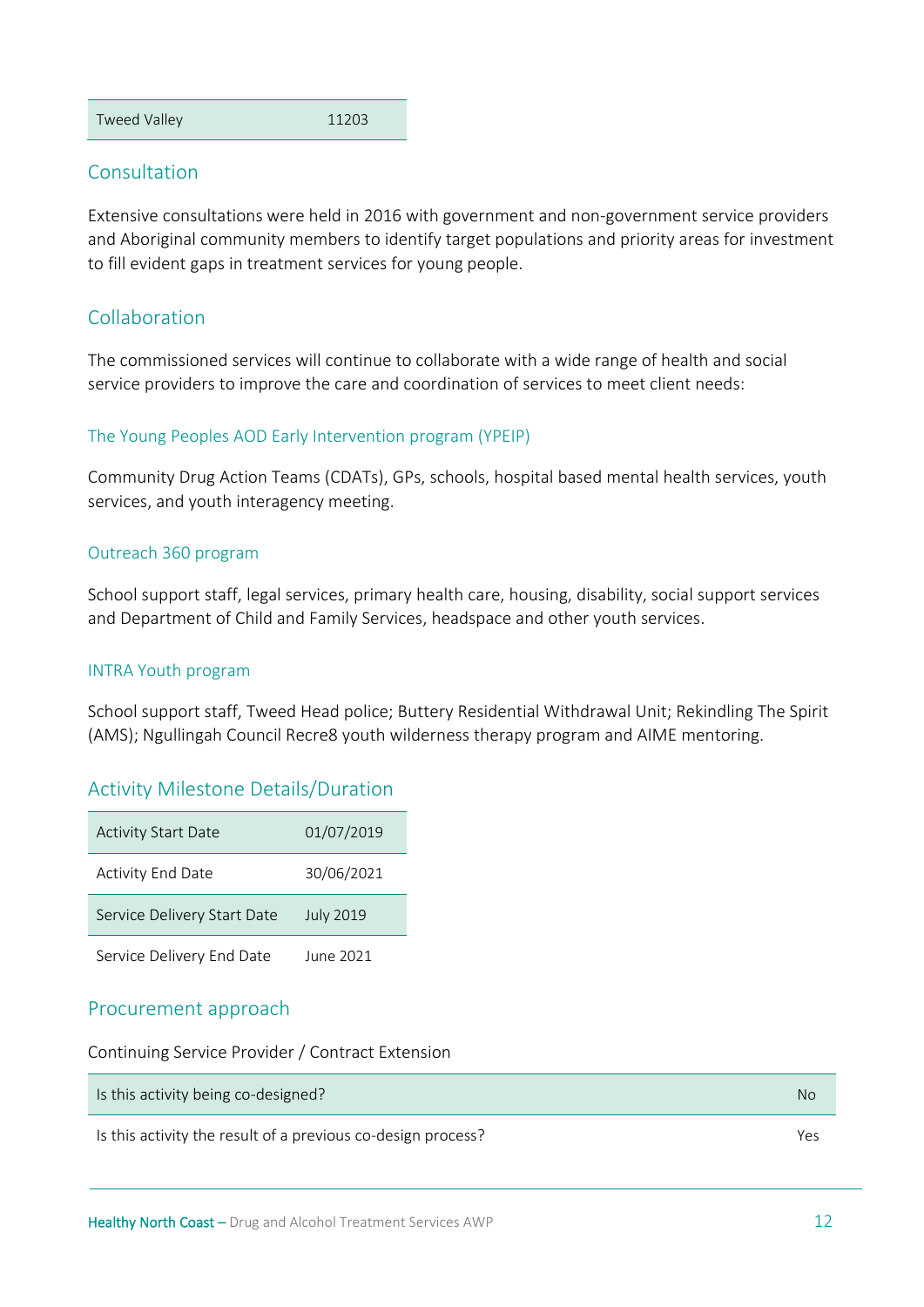Tweed Valley 11203

#### **Consultation**

Extensive consultations were held in 2016 with government and non-government service providers and Aboriginal community members to identify target populations and priority areas for investment to fill evident gaps in treatment services for young people.

# Collaboration

The commissioned services will continue to collaborate with a wide range of health and social service providers to improve the care and coordination of services to meet client needs:

#### The Young Peoples AOD Early Intervention program (YPEIP)

Community Drug Action Teams (CDATs), GPs, schools, hospital based mental health services, youth services, and youth interagency meeting.

#### Outreach 360 program

School support staff, legal services, primary health care, housing, disability, social support services and Department of Child and Family Services, headspace and other youth services.

#### INTRA Youth program

School support staff, Tweed Head police; Buttery Residential Withdrawal Unit; Rekindling The Spirit (AMS); Ngullingah Council Recre8 youth wilderness therapy program and AIME mentoring.

# Activity Milestone Details/Duration

| <b>Activity Start Date</b>  | 01/07/2019       |
|-----------------------------|------------------|
| <b>Activity End Date</b>    | 30/06/2021       |
| Service Delivery Start Date | <b>July 2019</b> |
| Service Delivery End Date   | June 2021        |

#### Procurement approach

Continuing Service Provider / Contract Extension

| Is this activity being co-designed?                          | No  |
|--------------------------------------------------------------|-----|
| Is this activity the result of a previous co-design process? | Yes |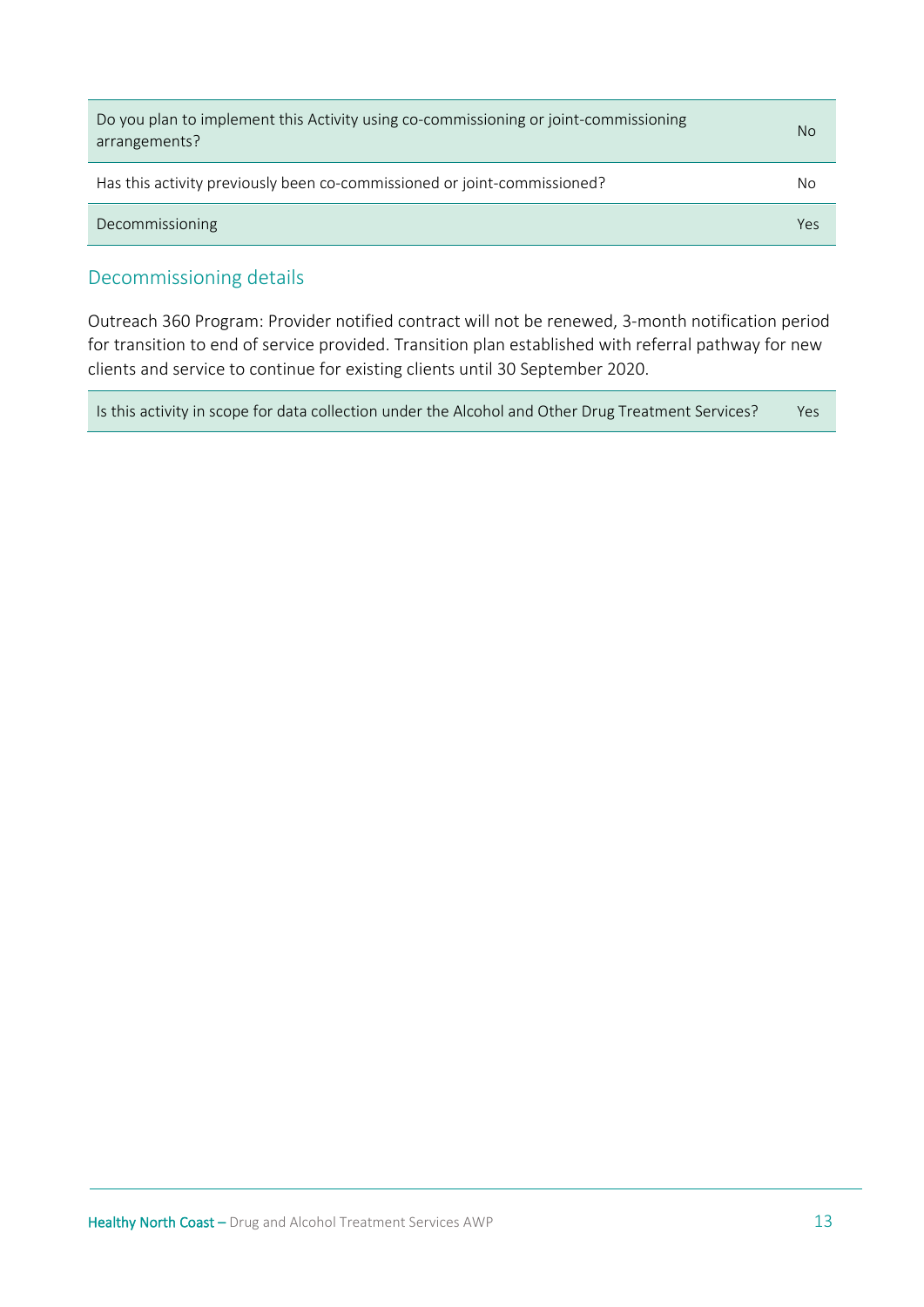| Do you plan to implement this Activity using co-commissioning or joint-commissioning<br>arrangements? | No. |
|-------------------------------------------------------------------------------------------------------|-----|
| Has this activity previously been co-commissioned or joint-commissioned?                              | No  |
| Decommissioning                                                                                       | Yes |

#### Decommissioning details

Outreach 360 Program: Provider notified contract will not be renewed, 3-month notification period for transition to end of service provided. Transition plan established with referral pathway for new clients and service to continue for existing clients until 30 September 2020.

| Is this activity in scope for data collection under the Alcohol and Other Drug Treatment Services? | Yes |
|----------------------------------------------------------------------------------------------------|-----|
|----------------------------------------------------------------------------------------------------|-----|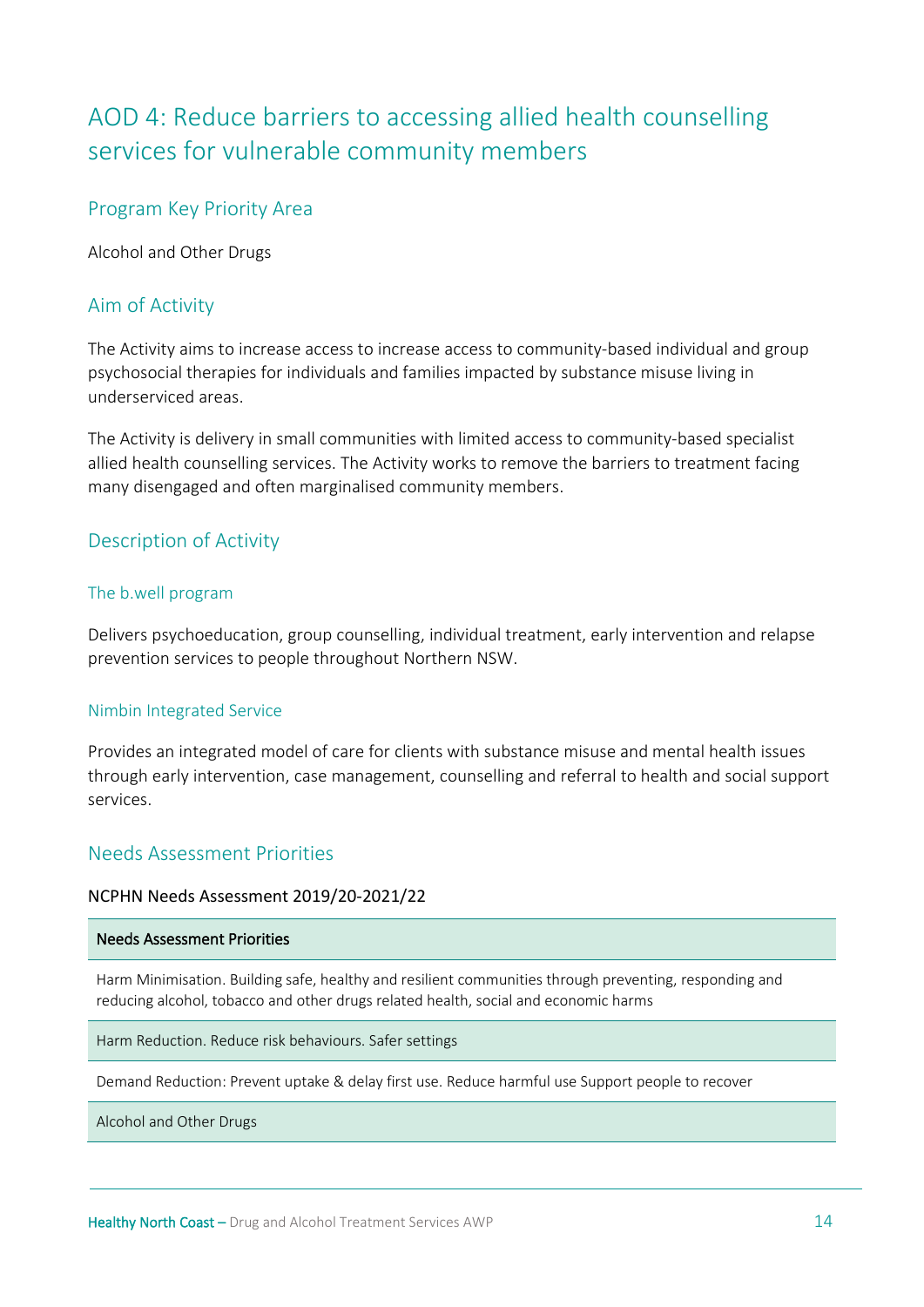# <span id="page-13-0"></span>AOD 4: Reduce barriers to accessing allied health counselling services for vulnerable community members

# Program Key Priority Area

Alcohol and Other Drugs

#### Aim of Activity

The Activity aims to increase access to increase access to community-based individual and group psychosocial therapies for individuals and families impacted by substance misuse living in underserviced areas.

The Activity is delivery in small communities with limited access to community-based specialist allied health counselling services. The Activity works to remove the barriers to treatment facing many disengaged and often marginalised community members.

#### Description of Activity

#### The b.well program

Delivers psychoeducation, group counselling, individual treatment, early intervention and relapse prevention services to people throughout Northern NSW.

#### Nimbin Integrated Service

Provides an integrated model of care for clients with substance misuse and mental health issues through early intervention, case management, counselling and referral to health and social support services.

#### Needs Assessment Priorities

#### NCPHN Needs Assessment 2019/20-2021/22

#### Needs Assessment Priorities

Harm Minimisation. Building safe, healthy and resilient communities through preventing, responding and reducing alcohol, tobacco and other drugs related health, social and economic harms

Harm Reduction. Reduce risk behaviours. Safer settings

Demand Reduction: Prevent uptake & delay first use. Reduce harmful use Support people to recover

Alcohol and Other Drugs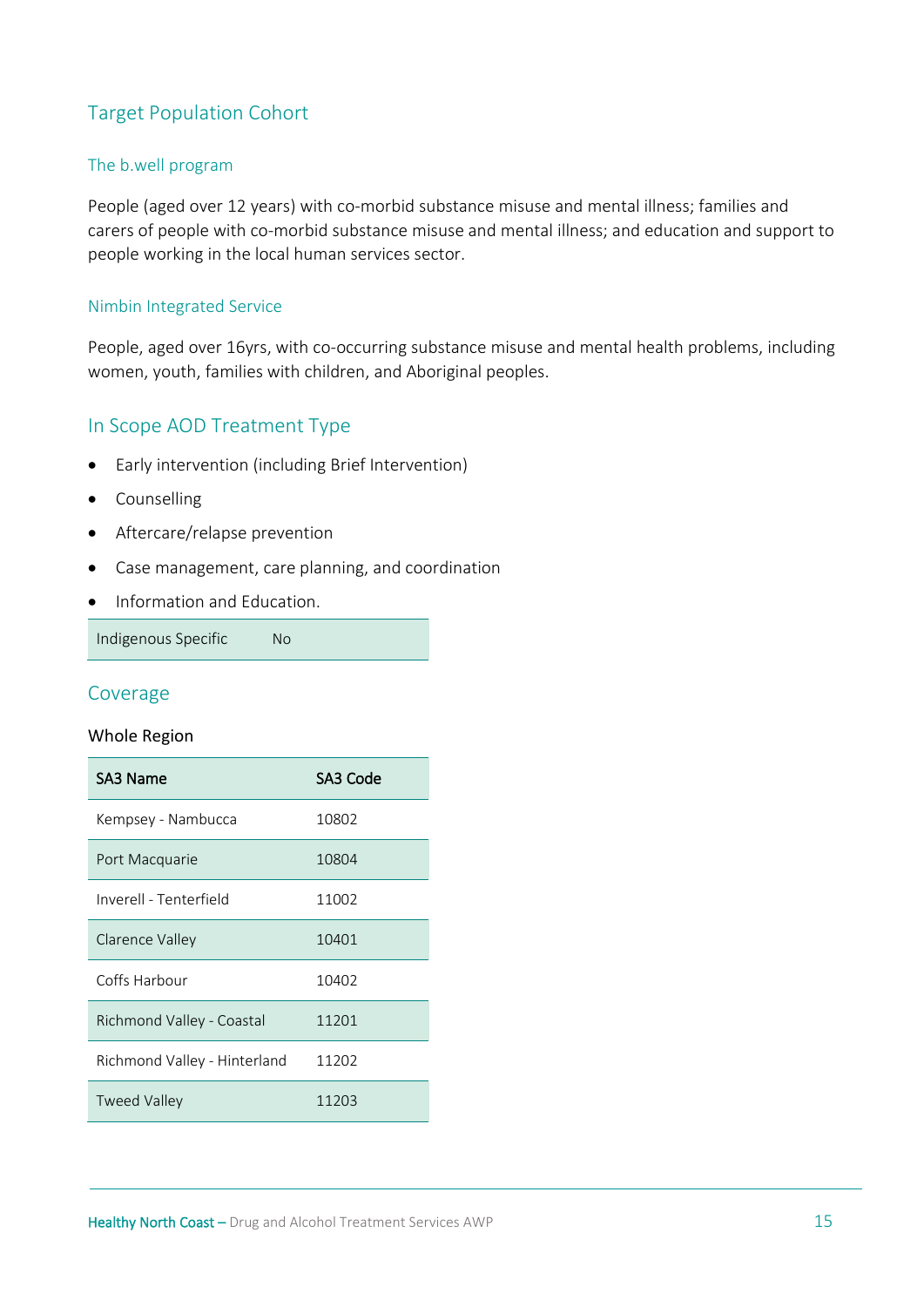# Target Population Cohort

#### The b.well program

People (aged over 12 years) with co-morbid substance misuse and mental illness; families and carers of people with co-morbid substance misuse and mental illness; and education and support to people working in the local human services sector.

#### Nimbin Integrated Service

People, aged over 16yrs, with co-occurring substance misuse and mental health problems, including women, youth, families with children, and Aboriginal peoples.

# In Scope AOD Treatment Type

- Early intervention (including Brief Intervention)
- Counselling
- Aftercare/relapse prevention
- Case management, care planning, and coordination
- Information and Education.

Indigenous Specific No

#### Coverage

#### Whole Region

| SA3 Name                     | SA3 Code |
|------------------------------|----------|
| Kempsey - Nambucca           | 10802    |
| Port Macquarie               | 10804    |
| Inverell - Tenterfield       | 11002    |
| Clarence Valley              | 10401    |
| Coffs Harbour                | 10402    |
| Richmond Valley - Coastal    | 11201    |
| Richmond Valley - Hinterland | 11202    |
| <b>Tweed Valley</b>          | 11203    |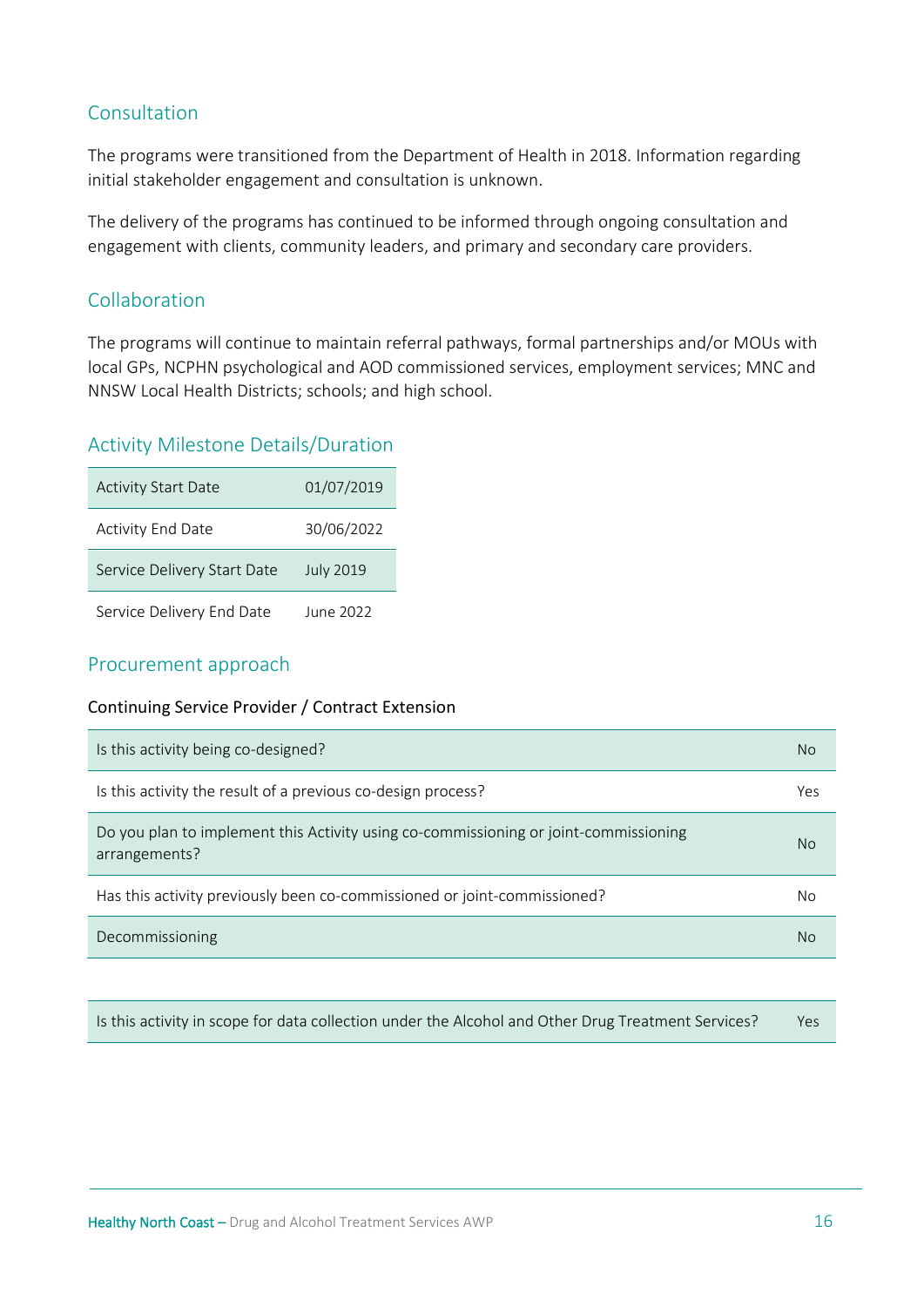# Consultation

The programs were transitioned from the Department of Health in 2018. Information regarding initial stakeholder engagement and consultation is unknown.

The delivery of the programs has continued to be informed through ongoing consultation and engagement with clients, community leaders, and primary and secondary care providers.

# Collaboration

The programs will continue to maintain referral pathways, formal partnerships and/or MOUs with local GPs, NCPHN psychological and AOD commissioned services, employment services; MNC and NNSW Local Health Districts; schools; and high school.

# Activity Milestone Details/Duration

| <b>Activity Start Date</b>  | 01/07/2019       |
|-----------------------------|------------------|
| <b>Activity End Date</b>    | 30/06/2022       |
| Service Delivery Start Date | <b>July 2019</b> |
| Service Delivery End Date   | June 2022        |

#### Procurement approach

#### Continuing Service Provider / Contract Extension

| Is this activity being co-designed?                                                                   | <b>No</b> |
|-------------------------------------------------------------------------------------------------------|-----------|
| Is this activity the result of a previous co-design process?                                          | Yes       |
| Do you plan to implement this Activity using co-commissioning or joint-commissioning<br>arrangements? | No.       |
| Has this activity previously been co-commissioned or joint-commissioned?                              | No        |
| Decommissioning                                                                                       | No        |

Is this activity in scope for data collection under the Alcohol and Other Drug Treatment Services? Yes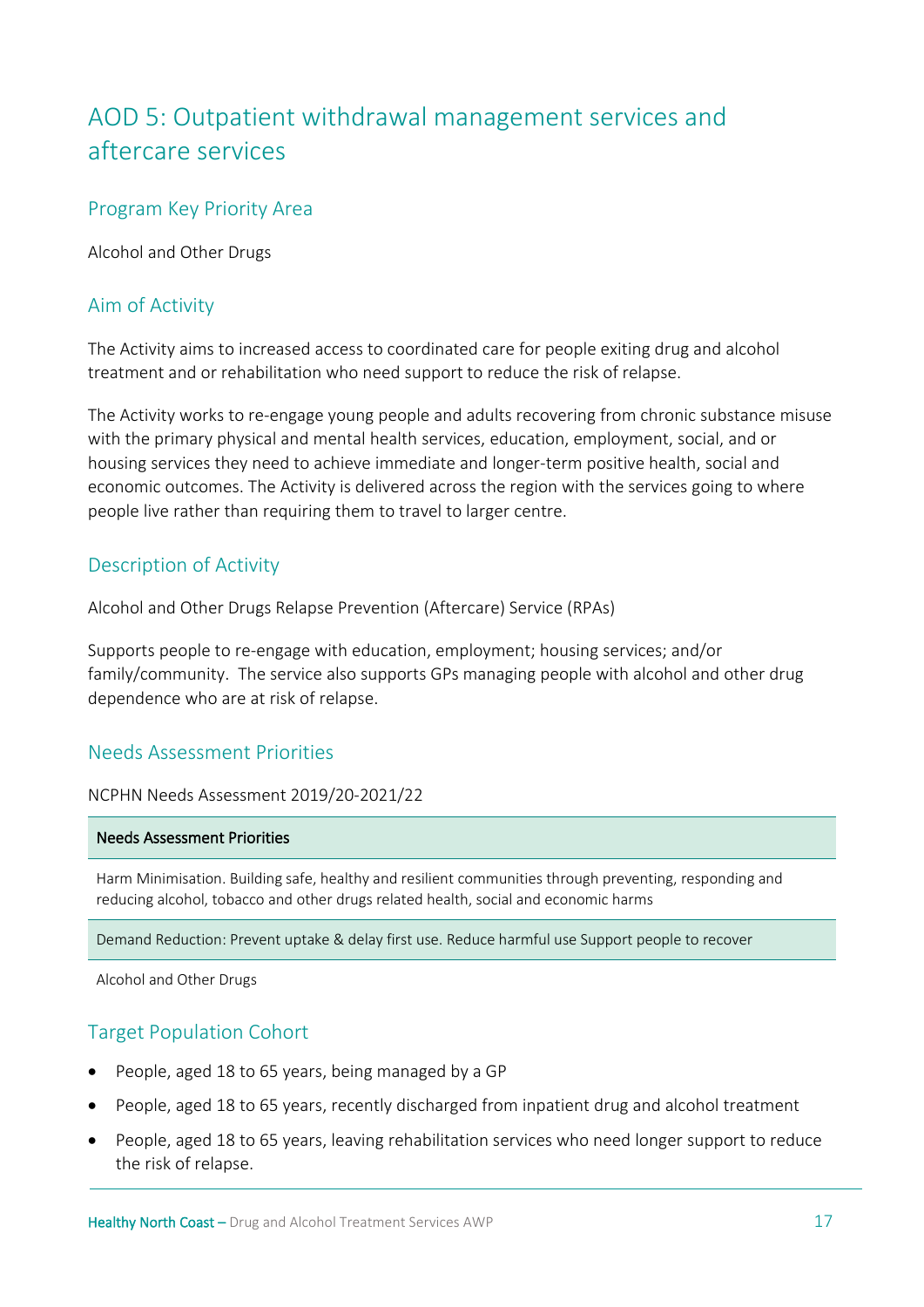# <span id="page-16-0"></span>AOD 5: Outpatient withdrawal management services and aftercare services

#### Program Key Priority Area

Alcohol and Other Drugs

#### Aim of Activity

The Activity aims to increased access to coordinated care for people exiting drug and alcohol treatment and or rehabilitation who need support to reduce the risk of relapse.

The Activity works to re-engage young people and adults recovering from chronic substance misuse with the primary physical and mental health services, education, employment, social, and or housing services they need to achieve immediate and longer-term positive health, social and economic outcomes. The Activity is delivered across the region with the services going to where people live rather than requiring them to travel to larger centre.

#### Description of Activity

Alcohol and Other Drugs Relapse Prevention (Aftercare) Service (RPAs)

Supports people to re-engage with education, employment; housing services; and/or family/community. The service also supports GPs managing people with alcohol and other drug dependence who are at risk of relapse.

# Needs Assessment Priorities

NCPHN Needs Assessment 2019/20-2021/22

#### Needs Assessment Priorities

Harm Minimisation. Building safe, healthy and resilient communities through preventing, responding and reducing alcohol, tobacco and other drugs related health, social and economic harms

Demand Reduction: Prevent uptake & delay first use. Reduce harmful use Support people to recover

Alcohol and Other Drugs

# Target Population Cohort

- People, aged 18 to 65 years, being managed by a GP
- People, aged 18 to 65 years, recently discharged from inpatient drug and alcohol treatment
- People, aged 18 to 65 years, leaving rehabilitation services who need longer support to reduce the risk of relapse.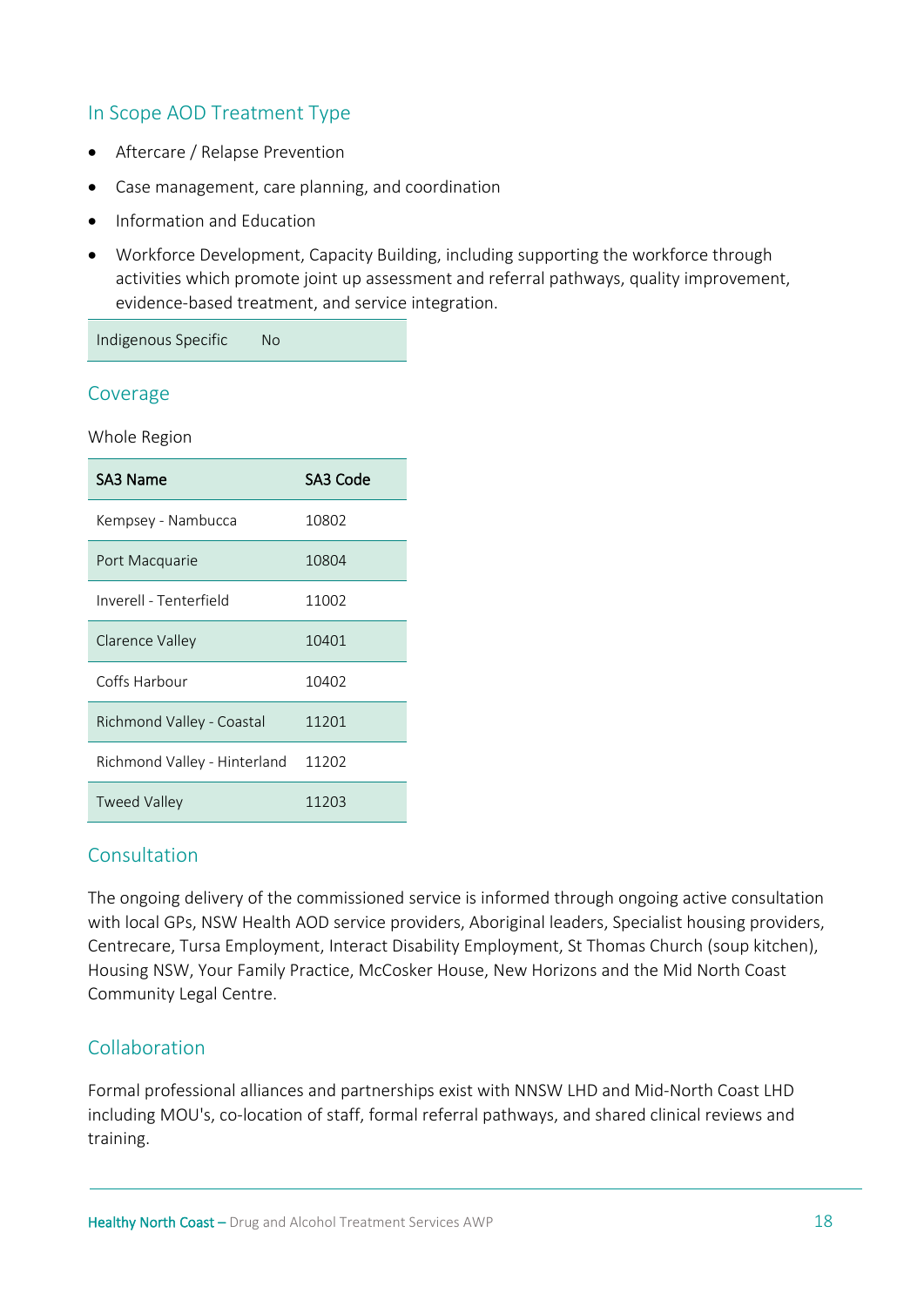# In Scope AOD Treatment Type

- Aftercare / Relapse Prevention
- Case management, care planning, and coordination
- Information and Education
- Workforce Development, Capacity Building, including supporting the workforce through activities which promote joint up assessment and referral pathways, quality improvement, evidence-based treatment, and service integration.

Indigenous Specific No

#### Coverage

Whole Region

| SA3 Name                     | SA3 Code |
|------------------------------|----------|
| Kempsey - Nambucca           | 10802    |
| Port Macquarie               | 10804    |
| Inverell - Tenterfield       | 11002    |
| Clarence Valley              | 10401    |
| Coffs Harbour                | 10402    |
| Richmond Valley - Coastal    | 11201    |
| Richmond Valley - Hinterland | 11202    |
| Tweed Valley                 | 11203    |

# Consultation

The ongoing delivery of the commissioned service is informed through ongoing active consultation with local GPs, NSW Health AOD service providers, Aboriginal leaders, Specialist housing providers, Centrecare, Tursa Employment, Interact Disability Employment, St Thomas Church (soup kitchen), Housing NSW, Your Family Practice, McCosker House, New Horizons and the Mid North Coast Community Legal Centre.

# Collaboration

Formal professional alliances and partnerships exist with NNSW LHD and Mid-North Coast LHD including MOU's, co-location of staff, formal referral pathways, and shared clinical reviews and training.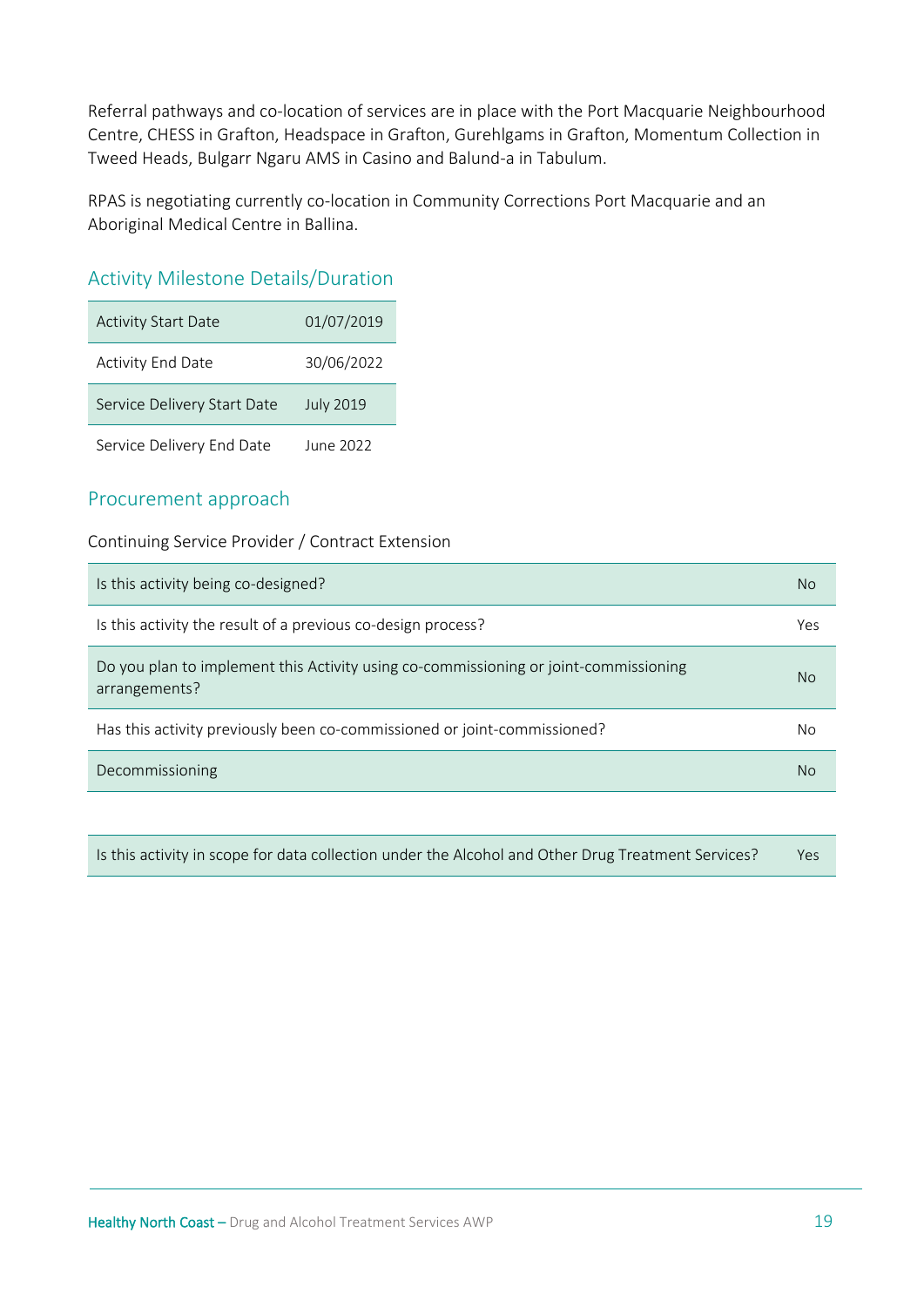Referral pathways and co-location of services are in place with the Port Macquarie Neighbourhood Centre, CHESS in Grafton, Headspace in Grafton, Gurehlgams in Grafton, Momentum Collection in Tweed Heads, Bulgarr Ngaru AMS in Casino and Balund-a in Tabulum.

RPAS is negotiating currently co-location in Community Corrections Port Macquarie and an Aboriginal Medical Centre in Ballina.

# Activity Milestone Details/Duration

| <b>Activity Start Date</b>  | 01/07/2019       |
|-----------------------------|------------------|
| <b>Activity End Date</b>    | 30/06/2022       |
| Service Delivery Start Date | <b>July 2019</b> |
| Service Delivery End Date   | June 2022        |

# Procurement approach

Continuing Service Provider / Contract Extension

| Is this activity being co-designed?                                                                   | No  |
|-------------------------------------------------------------------------------------------------------|-----|
| Is this activity the result of a previous co-design process?                                          | Yes |
| Do you plan to implement this Activity using co-commissioning or joint-commissioning<br>arrangements? | No. |
| Has this activity previously been co-commissioned or joint-commissioned?                              | No  |
| Decommissioning                                                                                       | No  |

Is this activity in scope for data collection under the Alcohol and Other Drug Treatment Services? Yes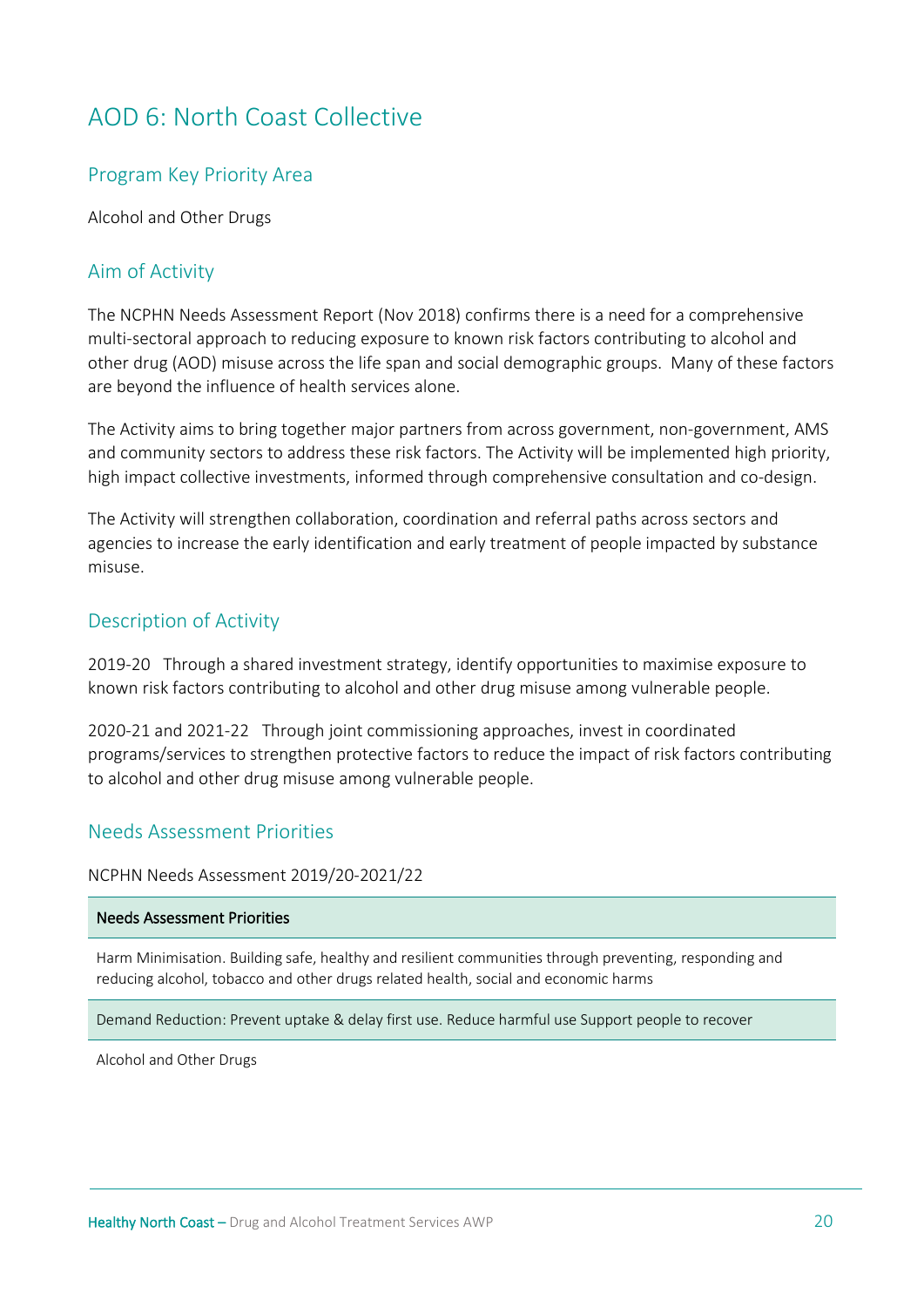# <span id="page-19-0"></span>AOD 6: North Coast Collective

#### Program Key Priority Area

Alcohol and Other Drugs

#### Aim of Activity

The NCPHN Needs Assessment Report (Nov 2018) confirms there is a need for a comprehensive multi-sectoral approach to reducing exposure to known risk factors contributing to alcohol and other drug (AOD) misuse across the life span and social demographic groups. Many of these factors are beyond the influence of health services alone.

The Activity aims to bring together major partners from across government, non-government, AMS and community sectors to address these risk factors. The Activity will be implemented high priority, high impact collective investments, informed through comprehensive consultation and co-design.

The Activity will strengthen collaboration, coordination and referral paths across sectors and agencies to increase the early identification and early treatment of people impacted by substance misuse.

#### Description of Activity

2019-20 Through a shared investment strategy, identify opportunities to maximise exposure to known risk factors contributing to alcohol and other drug misuse among vulnerable people.

2020-21 and 2021-22 Through joint commissioning approaches, invest in coordinated programs/services to strengthen protective factors to reduce the impact of risk factors contributing to alcohol and other drug misuse among vulnerable people.

#### Needs Assessment Priorities

#### NCPHN Needs Assessment 2019/20-2021/22

#### Needs Assessment Priorities

Harm Minimisation. Building safe, healthy and resilient communities through preventing, responding and reducing alcohol, tobacco and other drugs related health, social and economic harms

Demand Reduction: Prevent uptake & delay first use. Reduce harmful use Support people to recover

Alcohol and Other Drugs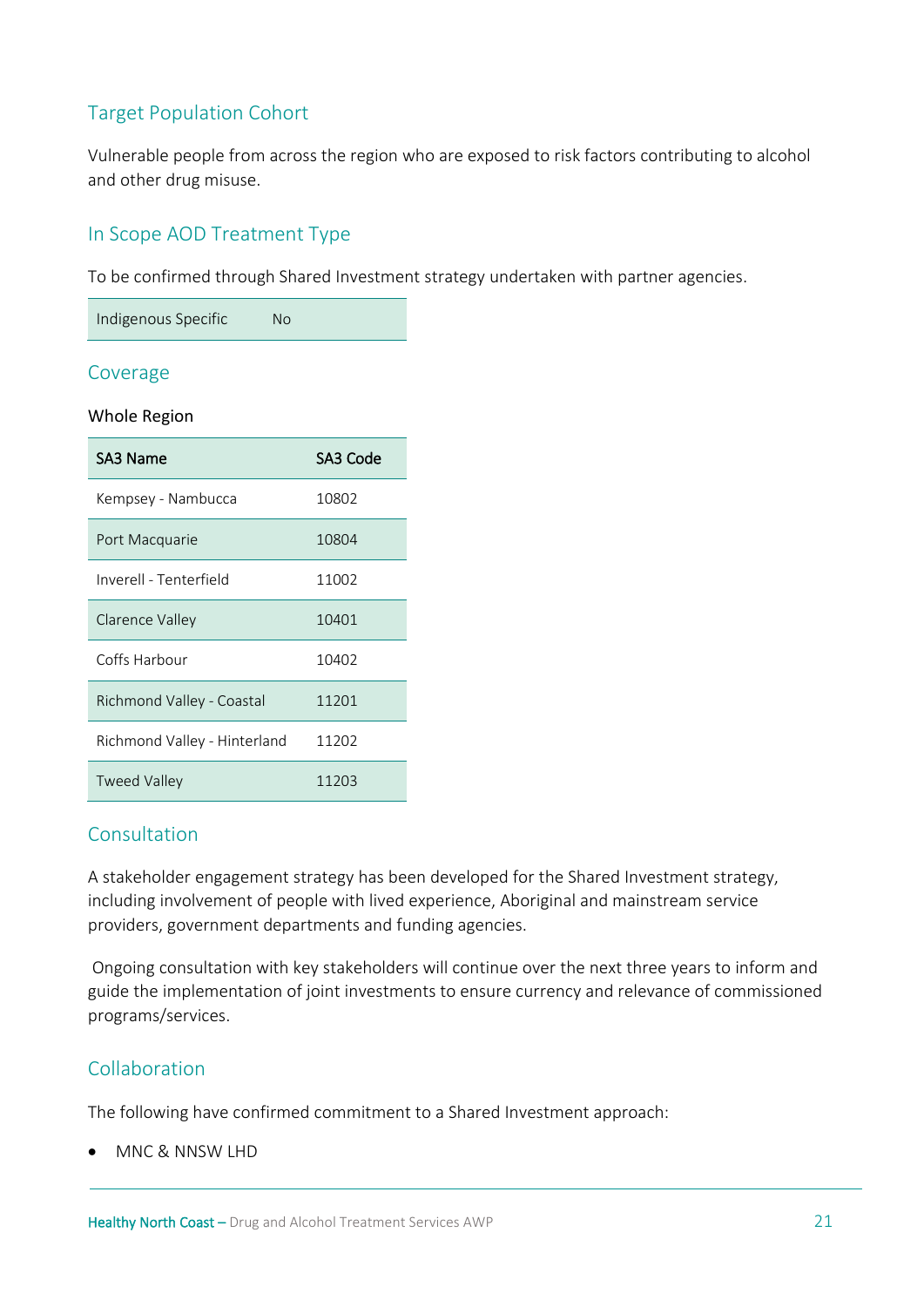# Target Population Cohort

Vulnerable people from across the region who are exposed to risk factors contributing to alcohol and other drug misuse.

# In Scope AOD Treatment Type

To be confirmed through Shared Investment strategy undertaken with partner agencies.

| Indigenous Specific | No |  |
|---------------------|----|--|
|---------------------|----|--|

#### Coverage

#### Whole Region

| SA3 Name                     | SA3 Code |
|------------------------------|----------|
| Kempsey - Nambucca           | 10802    |
| Port Macquarie               | 10804    |
| Inverell - Tenterfield       | 11002    |
| Clarence Valley              | 10401    |
| Coffs Harbour                | 10402    |
| Richmond Valley - Coastal    | 11201    |
| Richmond Valley - Hinterland | 11202    |
| <b>Tweed Valley</b>          | 11203    |

#### Consultation

A stakeholder engagement strategy has been developed for the Shared Investment strategy, including involvement of people with lived experience, Aboriginal and mainstream service providers, government departments and funding agencies.

Ongoing consultation with key stakeholders will continue over the next three years to inform and guide the implementation of joint investments to ensure currency and relevance of commissioned programs/services.

# Collaboration

The following have confirmed commitment to a Shared Investment approach:

• MNC & NNSW LHD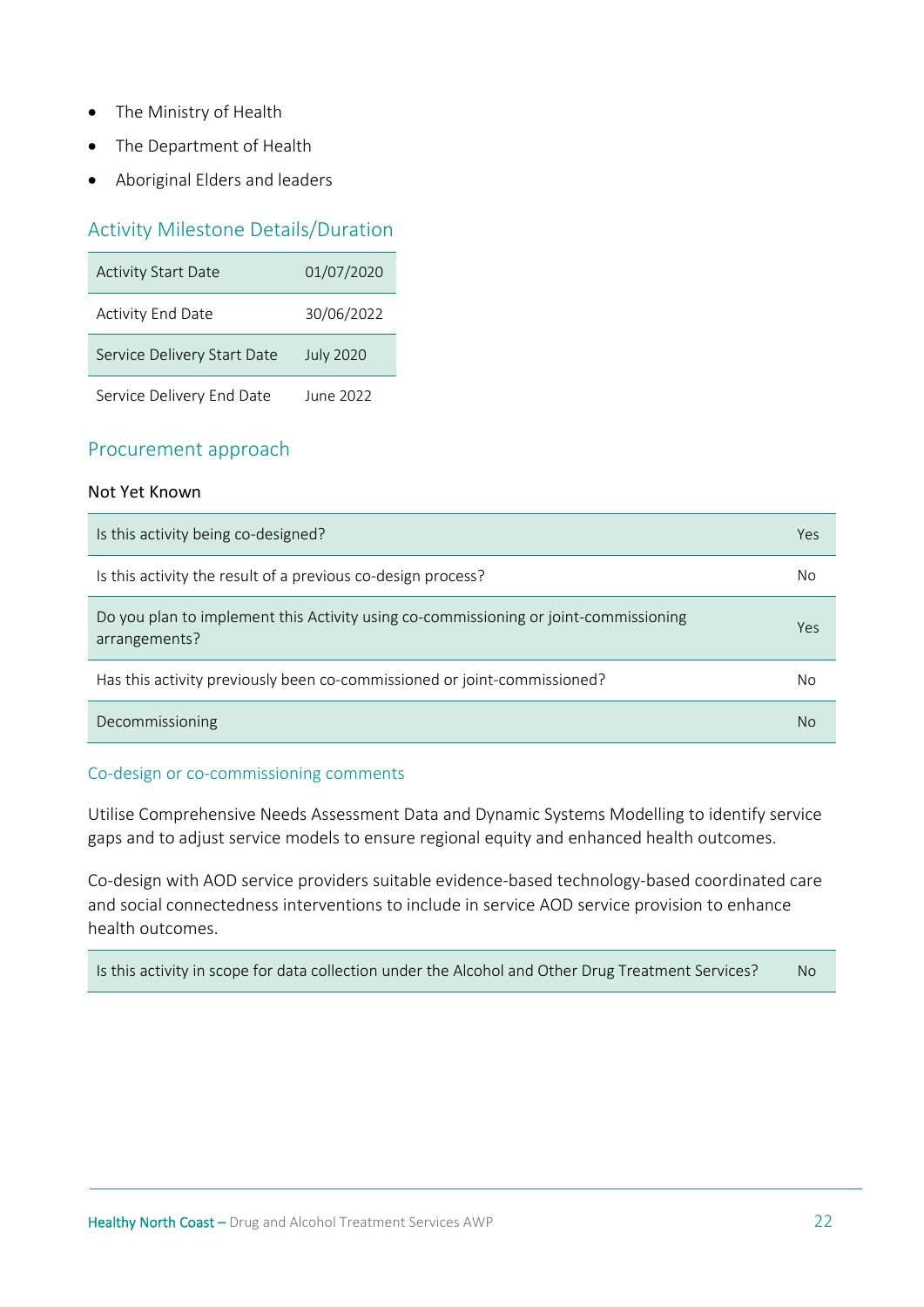- The Ministry of Health
- The Department of Health
- Aboriginal Elders and leaders

#### Activity Milestone Details/Duration

| <b>Activity Start Date</b>  | 01/07/2020       |
|-----------------------------|------------------|
| <b>Activity End Date</b>    | 30/06/2022       |
| Service Delivery Start Date | <b>July 2020</b> |
| Service Delivery End Date   | June 2022        |

#### Procurement approach

#### Not Yet Known

| Is this activity being co-designed?                                                                   | Yes |
|-------------------------------------------------------------------------------------------------------|-----|
| Is this activity the result of a previous co-design process?                                          | No  |
| Do you plan to implement this Activity using co-commissioning or joint-commissioning<br>arrangements? | Yes |
| Has this activity previously been co-commissioned or joint-commissioned?                              | No  |
| Decommissioning                                                                                       | No  |

#### Co-design or co-commissioning comments

Utilise Comprehensive Needs Assessment Data and Dynamic Systems Modelling to identify service gaps and to adjust service models to ensure regional equity and enhanced health outcomes.

Co-design with AOD service providers suitable evidence-based technology-based coordinated care and social connectedness interventions to include in service AOD service provision to enhance health outcomes.

Is this activity in scope for data collection under the Alcohol and Other Drug Treatment Services? No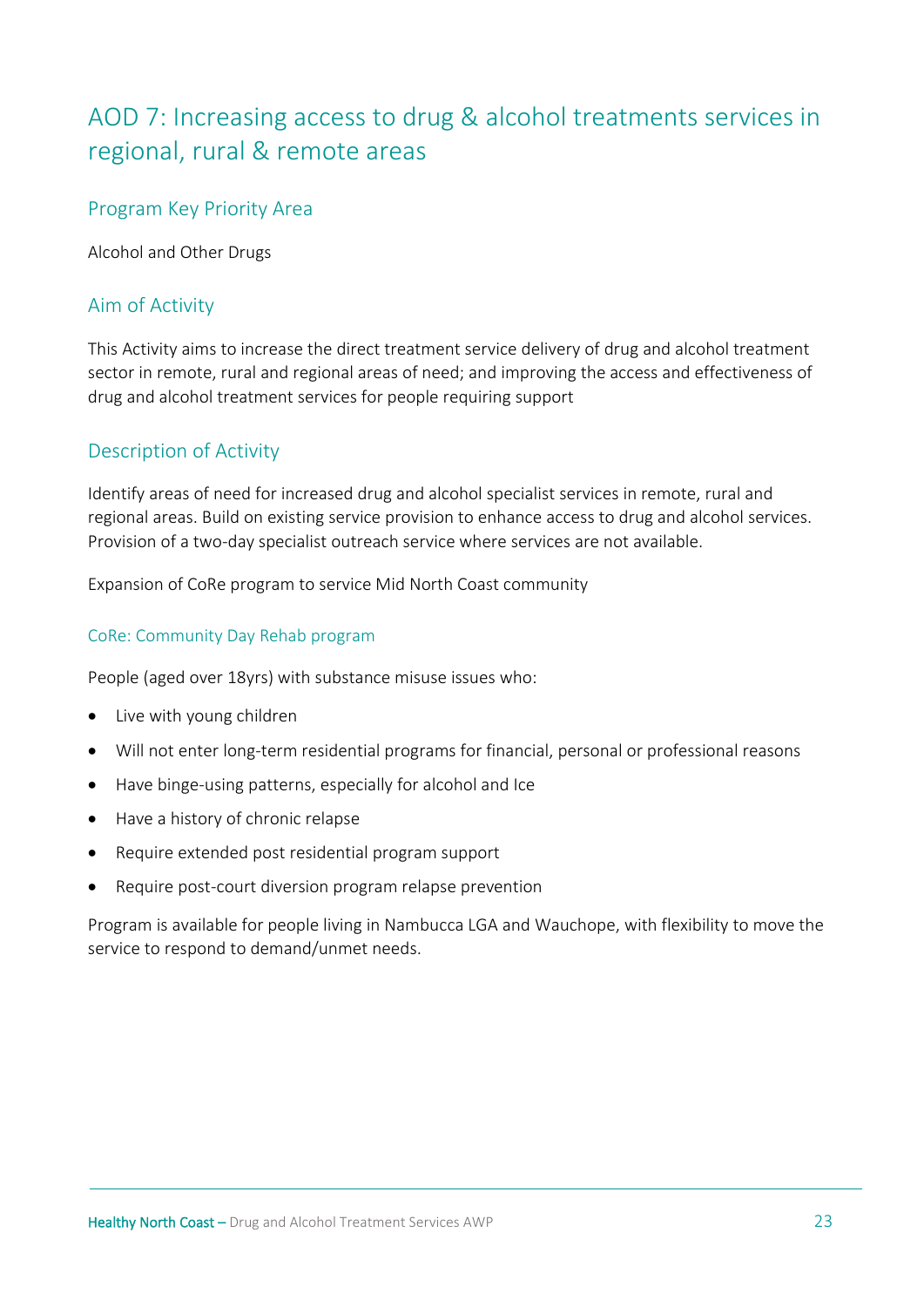# <span id="page-22-0"></span>AOD 7: Increasing access to drug & alcohol treatments services in regional, rural & remote areas

# Program Key Priority Area

Alcohol and Other Drugs

# Aim of Activity

This Activity aims to increase the direct treatment service delivery of drug and alcohol treatment sector in remote, rural and regional areas of need; and improving the access and effectiveness of drug and alcohol treatment services for people requiring support

# Description of Activity

Identify areas of need for increased drug and alcohol specialist services in remote, rural and regional areas. Build on existing service provision to enhance access to drug and alcohol services. Provision of a two-day specialist outreach service where services are not available.

Expansion of CoRe program to service Mid North Coast community

#### CoRe: Community Day Rehab program

People (aged over 18yrs) with substance misuse issues who:

- Live with young children
- Will not enter long-term residential programs for financial, personal or professional reasons
- Have binge-using patterns, especially for alcohol and Ice
- Have a history of chronic relapse
- Require extended post residential program support
- Require post-court diversion program relapse prevention

Program is available for people living in Nambucca LGA and Wauchope, with flexibility to move the service to respond to demand/unmet needs.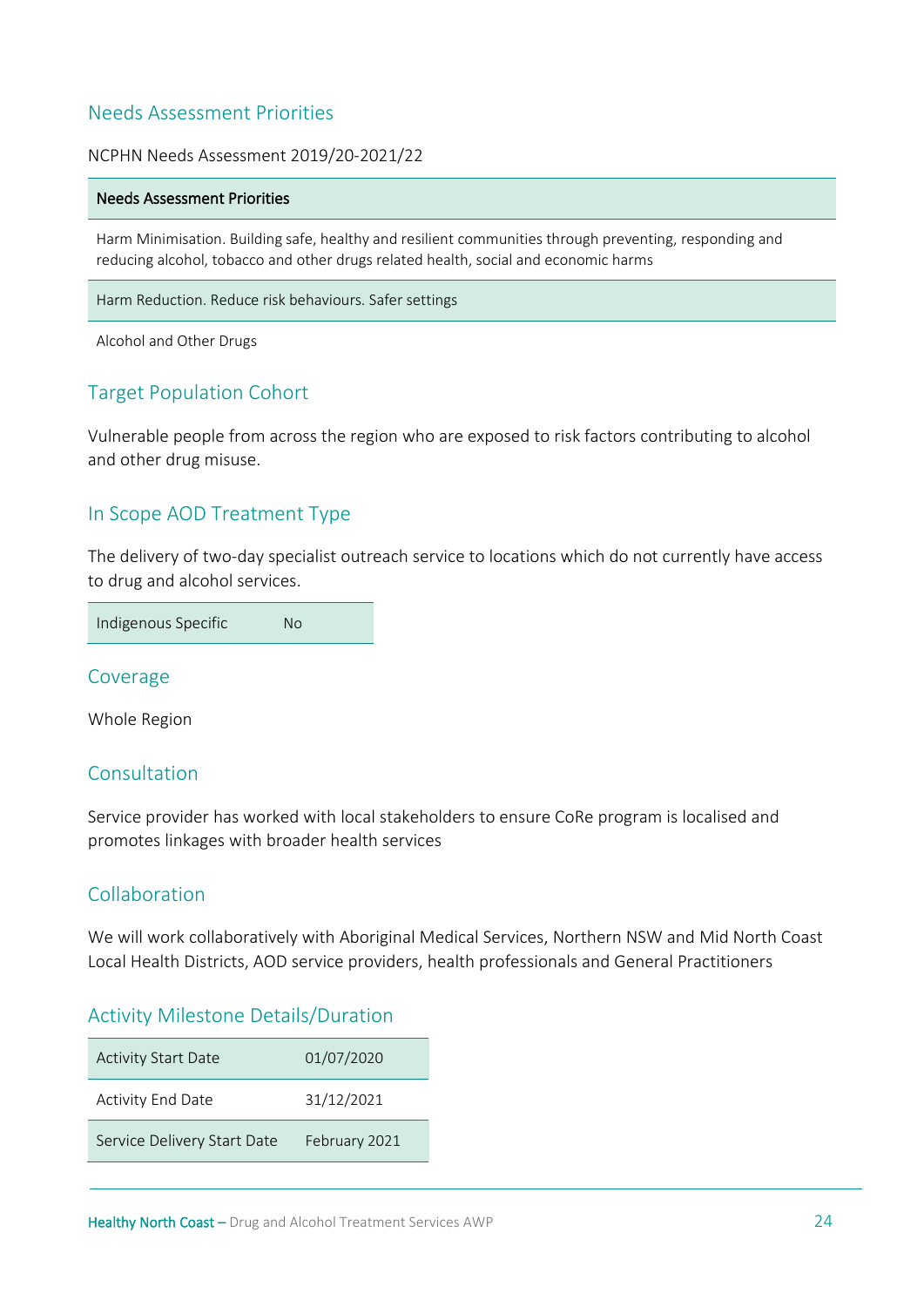# Needs Assessment Priorities

#### NCPHN Needs Assessment 2019/20-2021/22

#### Needs Assessment Priorities

Harm Minimisation. Building safe, healthy and resilient communities through preventing, responding and reducing alcohol, tobacco and other drugs related health, social and economic harms

Harm Reduction. Reduce risk behaviours. Safer settings

Alcohol and Other Drugs

# Target Population Cohort

Vulnerable people from across the region who are exposed to risk factors contributing to alcohol and other drug misuse.

#### In Scope AOD Treatment Type

The delivery of two-day specialist outreach service to locations which do not currently have access to drug and alcohol services.

Indigenous Specific No

Coverage

Whole Region

# Consultation

Service provider has worked with local stakeholders to ensure CoRe program is localised and promotes linkages with broader health services

#### Collaboration

We will work collaboratively with Aboriginal Medical Services, Northern NSW and Mid North Coast Local Health Districts, AOD service providers, health professionals and General Practitioners

|  | <b>Activity Milestone Details/Duration</b> |  |
|--|--------------------------------------------|--|
|  |                                            |  |

| <b>Activity Start Date</b>  | 01/07/2020    |
|-----------------------------|---------------|
| Activity End Date           | 31/12/2021    |
| Service Delivery Start Date | February 2021 |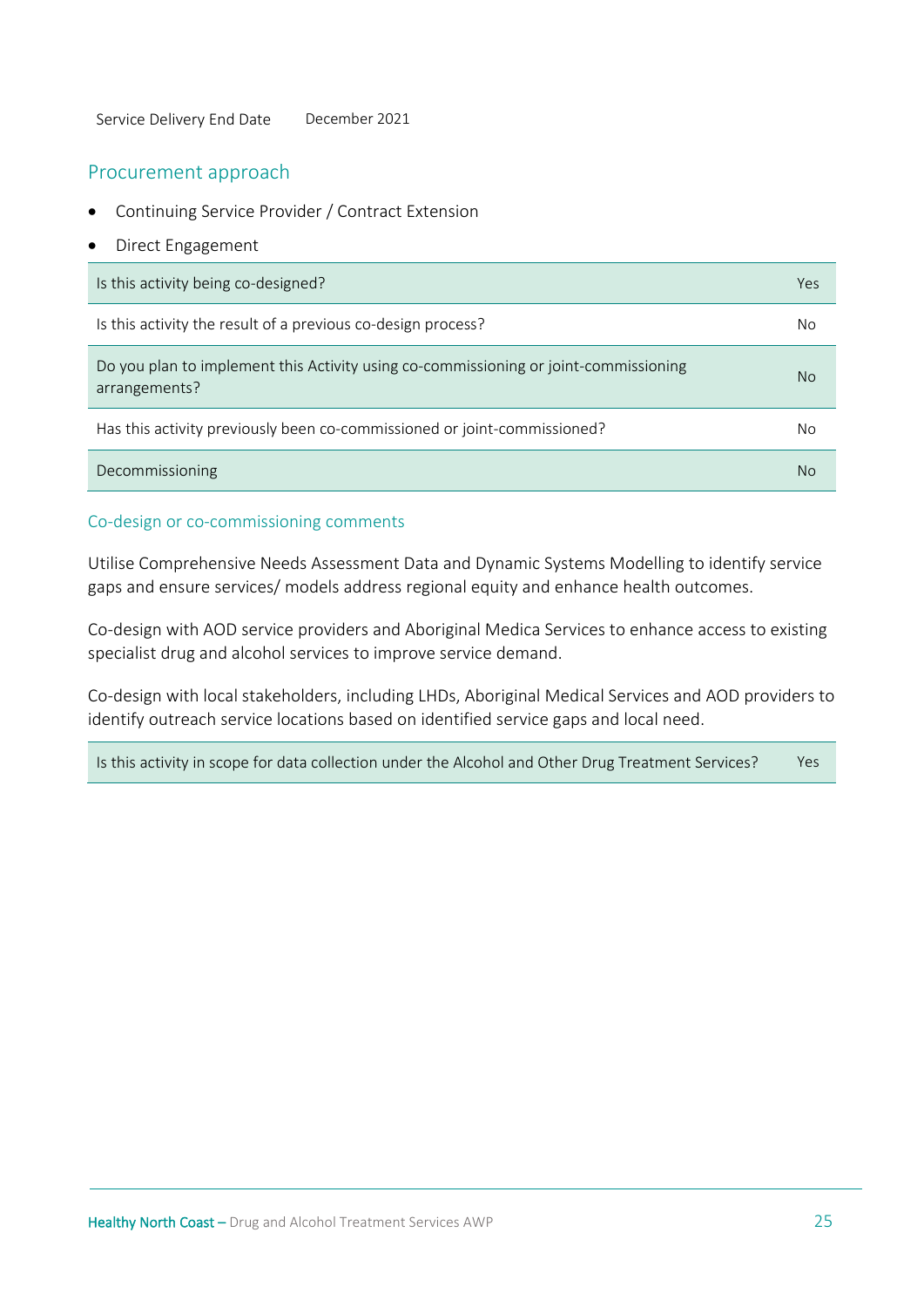Service Delivery End Date December 2021

#### Procurement approach

- Continuing Service Provider / Contract Extension
- Direct Engagement

| Is this activity being co-designed?                                                                   | Yes |
|-------------------------------------------------------------------------------------------------------|-----|
| Is this activity the result of a previous co-design process?                                          | No  |
| Do you plan to implement this Activity using co-commissioning or joint-commissioning<br>arrangements? | No  |
| Has this activity previously been co-commissioned or joint-commissioned?                              | Νo  |
| Decommissioning                                                                                       | No  |

#### Co-design or co-commissioning comments

Utilise Comprehensive Needs Assessment Data and Dynamic Systems Modelling to identify service gaps and ensure services/ models address regional equity and enhance health outcomes.

Co-design with AOD service providers and Aboriginal Medica Services to enhance access to existing specialist drug and alcohol services to improve service demand.

Co-design with local stakeholders, including LHDs, Aboriginal Medical Services and AOD providers to identify outreach service locations based on identified service gaps and local need.

Is this activity in scope for data collection under the Alcohol and Other Drug Treatment Services? Yes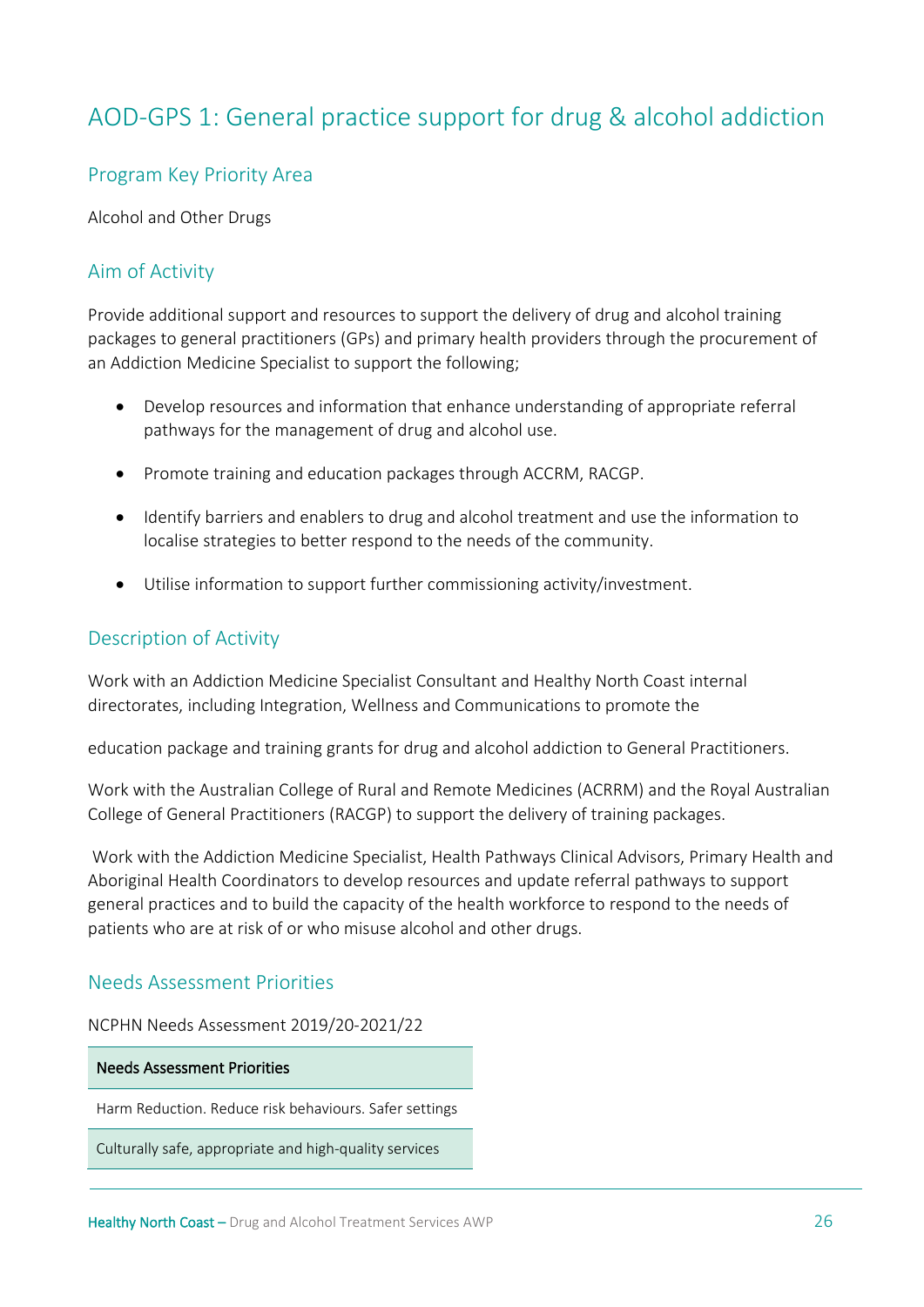# <span id="page-25-0"></span>AOD-GPS 1: General practice support for drug & alcohol addiction

# Program Key Priority Area

Alcohol and Other Drugs

# Aim of Activity

Provide additional support and resources to support the delivery of drug and alcohol training packages to general practitioners (GPs) and primary health providers through the procurement of an Addiction Medicine Specialist to support the following;

- Develop resources and information that enhance understanding of appropriate referral pathways for the management of drug and alcohol use.
- Promote training and education packages through ACCRM, RACGP.
- Identify barriers and enablers to drug and alcohol treatment and use the information to localise strategies to better respond to the needs of the community.
- Utilise information to support further commissioning activity/investment.

# Description of Activity

Work with an Addiction Medicine Specialist Consultant and Healthy North Coast internal directorates, including Integration, Wellness and Communications to promote the

education package and training grants for drug and alcohol addiction to General Practitioners.

Work with the Australian College of Rural and Remote Medicines (ACRRM) and the Royal Australian College of General Practitioners (RACGP) to support the delivery of training packages.

Work with the Addiction Medicine Specialist, Health Pathways Clinical Advisors, Primary Health and Aboriginal Health Coordinators to develop resources and update referral pathways to support general practices and to build the capacity of the health workforce to respond to the needs of patients who are at risk of or who misuse alcohol and other drugs.

#### Needs Assessment Priorities

NCPHN Needs Assessment 2019/20-2021/22

#### Needs Assessment Priorities

Harm Reduction. Reduce risk behaviours. Safer settings

Culturally safe, appropriate and high-quality services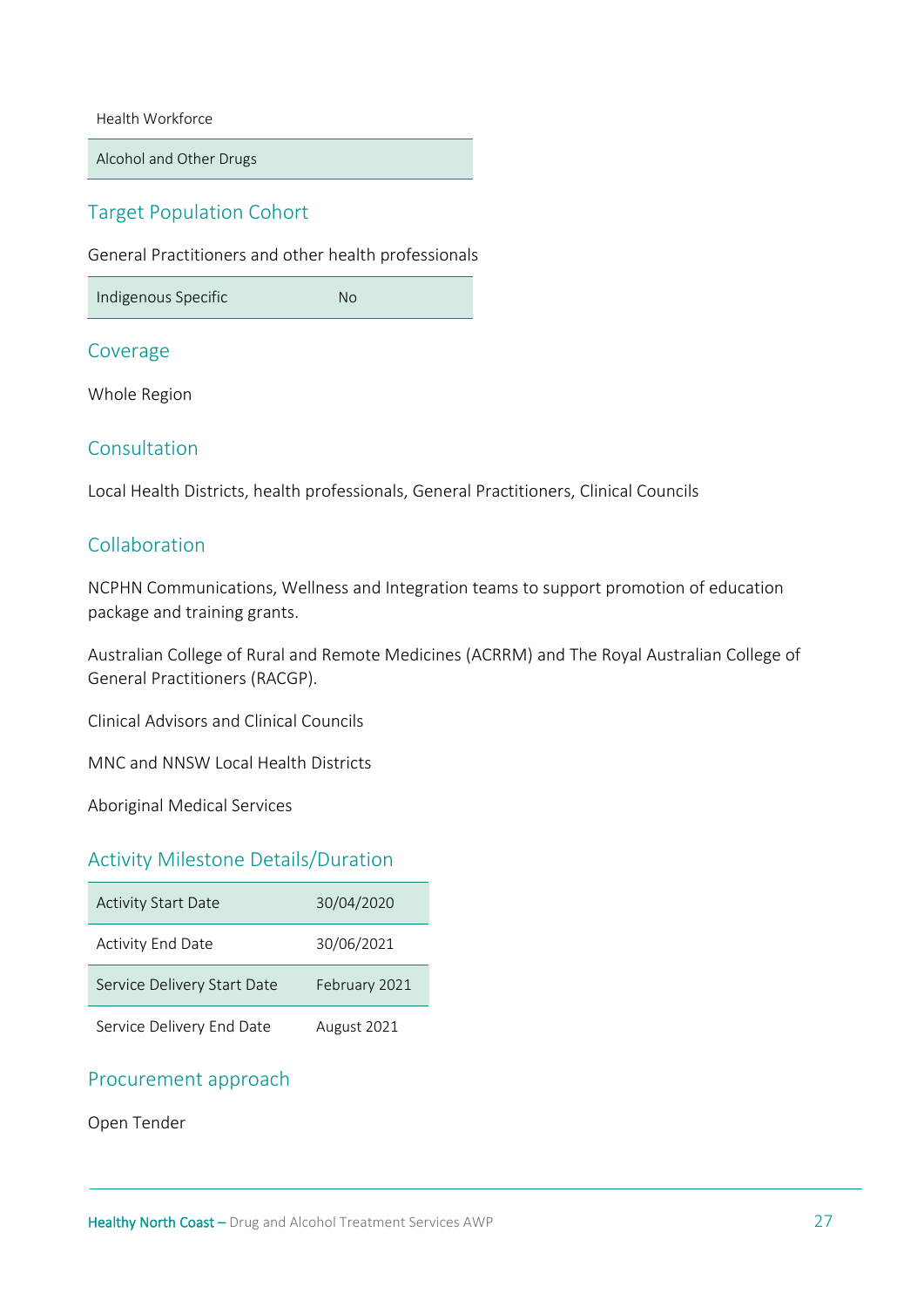Health Workforce

Alcohol and Other Drugs

# Target Population Cohort

General Practitioners and other health professionals

Indigenous Specific No

#### Coverage

Whole Region

#### Consultation

Local Health Districts, health professionals, General Practitioners, Clinical Councils

#### Collaboration

NCPHN Communications, Wellness and Integration teams to support promotion of education package and training grants.

Australian College of Rural and Remote Medicines (ACRRM) and The Royal Australian College of General Practitioners (RACGP).

Clinical Advisors and Clinical Councils

MNC and NNSW Local Health Districts

Aboriginal Medical Services

# Activity Milestone Details/Duration

| <b>Activity Start Date</b>  | 30/04/2020    |
|-----------------------------|---------------|
| <b>Activity End Date</b>    | 30/06/2021    |
| Service Delivery Start Date | February 2021 |
| Service Delivery End Date   | August 2021   |

# Procurement approach

Open Tender